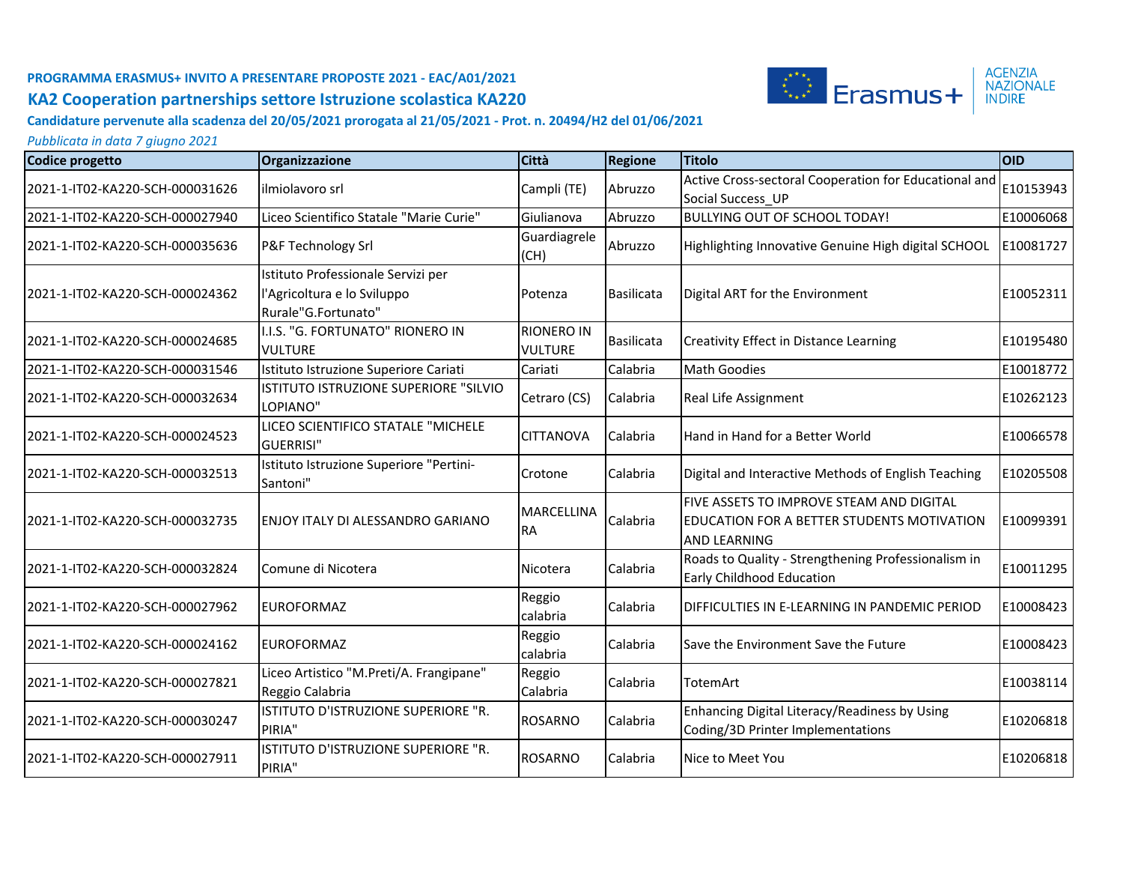

**Candidature pervenute alla scadenza del 20/05/2021 prorogata al 21/05/2021 - Prot. n. 20494/H2 del 01/06/2021**

| <b>Codice progetto</b>          | Organizzazione                                                                           | Città                               | <b>Regione</b>    | <b>Titolo</b>                                                                                                 | <b>OID</b> |
|---------------------------------|------------------------------------------------------------------------------------------|-------------------------------------|-------------------|---------------------------------------------------------------------------------------------------------------|------------|
| 2021-1-IT02-KA220-SCH-000031626 | ilmiolavoro srl                                                                          | Campli (TE)                         | Abruzzo           | Active Cross-sectoral Cooperation for Educational and<br>Social Success UP                                    | E10153943  |
| 2021-1-IT02-KA220-SCH-000027940 | Liceo Scientifico Statale "Marie Curie"                                                  | Giulianova                          | Abruzzo           | <b>BULLYING OUT OF SCHOOL TODAY!</b>                                                                          | E10006068  |
| 2021-1-IT02-KA220-SCH-000035636 | P&F Technology Srl                                                                       | Guardiagrele<br>(CH)                | Abruzzo           | Highlighting Innovative Genuine High digital SCHOOL                                                           | E10081727  |
| 2021-1-IT02-KA220-SCH-000024362 | Istituto Professionale Servizi per<br>l'Agricoltura e lo Sviluppo<br>Rurale"G.Fortunato" | Potenza                             | Basilicata        | Digital ART for the Environment                                                                               | E10052311  |
| 2021-1-IT02-KA220-SCH-000024685 | I.I.S. "G. FORTUNATO" RIONERO IN<br><b>VULTURE</b>                                       | <b>RIONERO IN</b><br><b>VULTURE</b> | <b>Basilicata</b> | Creativity Effect in Distance Learning                                                                        | E10195480  |
| 2021-1-IT02-KA220-SCH-000031546 | Istituto Istruzione Superiore Cariati                                                    | Cariati                             | Calabria          | Math Goodies                                                                                                  | E10018772  |
| 2021-1-IT02-KA220-SCH-000032634 | ISTITUTO ISTRUZIONE SUPERIORE "SILVIO<br>LOPIANO"                                        | Cetraro (CS)                        | Calabria          | Real Life Assignment                                                                                          | E10262123  |
| 2021-1-IT02-KA220-SCH-000024523 | LICEO SCIENTIFICO STATALE "MICHELE<br><b>GUERRISI"</b>                                   | <b>CITTANOVA</b>                    | Calabria          | Hand in Hand for a Better World                                                                               | E10066578  |
| 2021-1-IT02-KA220-SCH-000032513 | Istituto Istruzione Superiore "Pertini-<br>Santoni"                                      | Crotone                             | Calabria          | Digital and Interactive Methods of English Teaching                                                           | E10205508  |
| 2021-1-IT02-KA220-SCH-000032735 | <b>IENJOY ITALY DI ALESSANDRO GARIANO</b>                                                | MARCELLINA<br><b>RA</b>             | Calabria          | FIVE ASSETS TO IMPROVE STEAM AND DIGITAL<br>EDUCATION FOR A BETTER STUDENTS MOTIVATION<br><b>AND LEARNING</b> | E10099391  |
| 2021-1-IT02-KA220-SCH-000032824 | Comune di Nicotera                                                                       | Nicotera                            | Calabria          | Roads to Quality - Strengthening Professionalism in<br><b>Early Childhood Education</b>                       | E10011295  |
| 2021-1-IT02-KA220-SCH-000027962 | <b>EUROFORMAZ</b>                                                                        | Reggio<br>calabria                  | Calabria          | DIFFICULTIES IN E-LEARNING IN PANDEMIC PERIOD                                                                 | E10008423  |
| 2021-1-IT02-KA220-SCH-000024162 | <b>EUROFORMAZ</b>                                                                        | Reggio<br>calabria                  | Calabria          | Save the Environment Save the Future                                                                          | E10008423  |
| 2021-1-IT02-KA220-SCH-000027821 | Liceo Artistico "M.Preti/A. Frangipane"<br>Reggio Calabria                               | Reggio<br>Calabria                  | Calabria          | TotemArt                                                                                                      | E10038114  |
| 2021-1-IT02-KA220-SCH-000030247 | ISTITUTO D'ISTRUZIONE SUPERIORE "R.<br>PIRIA"                                            | <b>ROSARNO</b>                      | Calabria          | Enhancing Digital Literacy/Readiness by Using<br>Coding/3D Printer Implementations                            | E10206818  |
| 2021-1-IT02-KA220-SCH-000027911 | ISTITUTO D'ISTRUZIONE SUPERIORE "R.<br>PIRIA"                                            | <b>ROSARNO</b>                      | Calabria          | Nice to Meet You                                                                                              | E10206818  |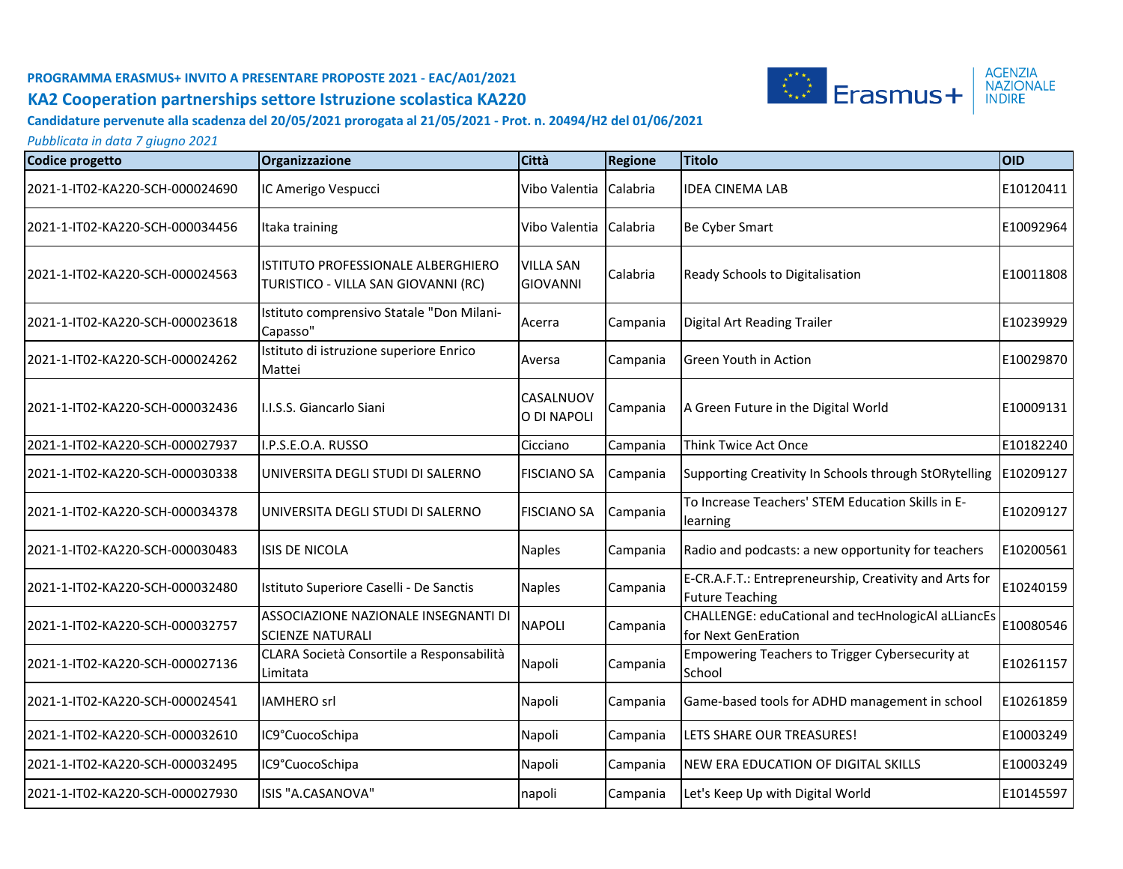

#### **Candidature pervenute alla scadenza del 20/05/2021 prorogata al 21/05/2021 - Prot. n. 20494/H2 del 01/06/2021**

| Codice progetto                 | Organizzazione                                                            | <b>Città</b>                        | <b>Regione</b> | <b>Titolo</b>                                                                    | <b>OID</b> |
|---------------------------------|---------------------------------------------------------------------------|-------------------------------------|----------------|----------------------------------------------------------------------------------|------------|
| 2021-1-IT02-KA220-SCH-000024690 | IC Amerigo Vespucci                                                       | Vibo Valentia                       | Calabria       | <b>IDEA CINEMA LAB</b>                                                           | E10120411  |
| 2021-1-IT02-KA220-SCH-000034456 | Itaka training                                                            | Vibo Valentia                       | Calabria       | Be Cyber Smart                                                                   | E10092964  |
| 2021-1-IT02-KA220-SCH-000024563 | ISTITUTO PROFESSIONALE ALBERGHIERO<br>TURISTICO - VILLA SAN GIOVANNI (RC) | <b>VILLA SAN</b><br><b>GIOVANNI</b> | Calabria       | Ready Schools to Digitalisation                                                  | E10011808  |
| 2021-1-IT02-KA220-SCH-000023618 | Istituto comprensivo Statale "Don Milani-<br>Capasso"                     | Acerra                              | Campania       | Digital Art Reading Trailer                                                      | E10239929  |
| 2021-1-IT02-KA220-SCH-000024262 | Istituto di istruzione superiore Enrico<br>Mattei                         | Aversa                              | Campania       | Green Youth in Action                                                            | E10029870  |
| 2021-1-IT02-KA220-SCH-000032436 | I.I.S.S. Giancarlo Siani                                                  | CASALNUOV<br>O DI NAPOLI            | Campania       | A Green Future in the Digital World                                              | E10009131  |
| 2021-1-IT02-KA220-SCH-000027937 | I.P.S.E.O.A. RUSSO                                                        | Cicciano                            | Campania       | Think Twice Act Once                                                             | E10182240  |
| 2021-1-IT02-KA220-SCH-000030338 | UNIVERSITA DEGLI STUDI DI SALERNO                                         | <b>FISCIANO SA</b>                  | Campania       | Supporting Creativity In Schools through StORytelling                            | E10209127  |
| 2021-1-IT02-KA220-SCH-000034378 | UNIVERSITA DEGLI STUDI DI SALERNO                                         | <b>FISCIANO SA</b>                  | Campania       | To Increase Teachers' STEM Education Skills in E-<br>learning                    | E10209127  |
| 2021-1-IT02-KA220-SCH-000030483 | <b>ISIS DE NICOLA</b>                                                     | <b>Naples</b>                       | Campania       | Radio and podcasts: a new opportunity for teachers                               | E10200561  |
| 2021-1-IT02-KA220-SCH-000032480 | Istituto Superiore Caselli - De Sanctis                                   | <b>Naples</b>                       | Campania       | E-CR.A.F.T.: Entrepreneurship, Creativity and Arts for<br><b>Future Teaching</b> | E10240159  |
| 2021-1-IT02-KA220-SCH-000032757 | ASSOCIAZIONE NAZIONALE INSEGNANTI DI<br><b>SCIENZE NATURALI</b>           | <b>NAPOLI</b>                       | Campania       | CHALLENGE: eduCational and tecHnologicAl aLLiancEs<br>for Next GenEration        | E10080546  |
| 2021-1-IT02-KA220-SCH-000027136 | CLARA Società Consortile a Responsabilità<br>Limitata                     | Napoli                              | Campania       | Empowering Teachers to Trigger Cybersecurity at<br>School                        | E10261157  |
| 2021-1-IT02-KA220-SCH-000024541 | <b>IAMHERO</b> srl                                                        | Napoli                              | Campania       | Game-based tools for ADHD management in school                                   | E10261859  |
| 2021-1-IT02-KA220-SCH-000032610 | IC9°CuocoSchipa                                                           | Napoli                              | Campania       | LETS SHARE OUR TREASURES!                                                        | E10003249  |
| 2021-1-IT02-KA220-SCH-000032495 | IC9°CuocoSchipa                                                           | Napoli                              | Campania       | <b>NEW ERA EDUCATION OF DIGITAL SKILLS</b>                                       | E10003249  |
| 2021-1-IT02-KA220-SCH-000027930 | ISIS "A.CASANOVA"                                                         | napoli                              | Campania       | Let's Keep Up with Digital World                                                 | E10145597  |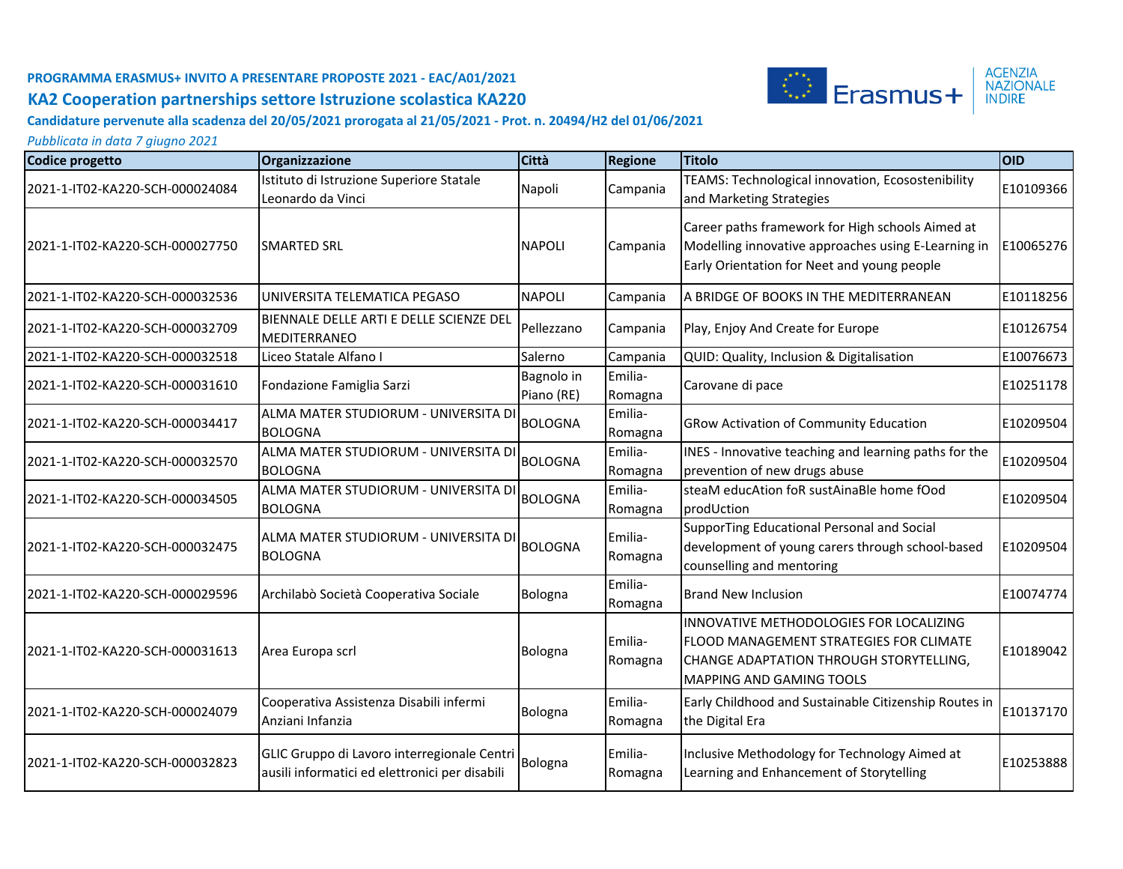

#### **Candidature pervenute alla scadenza del 20/05/2021 prorogata al 21/05/2021 - Prot. n. 20494/H2 del 01/06/2021**

| Codice progetto                 | Organizzazione                                                                                | Città                    | <b>Regione</b>     | <b>Titolo</b>                                                                                                                                                    | <b>OID</b> |
|---------------------------------|-----------------------------------------------------------------------------------------------|--------------------------|--------------------|------------------------------------------------------------------------------------------------------------------------------------------------------------------|------------|
| 2021-1-IT02-KA220-SCH-000024084 | Istituto di Istruzione Superiore Statale<br>Leonardo da Vinci                                 | Napoli                   | Campania           | TEAMS: Technological innovation, Ecosostenibility<br>and Marketing Strategies                                                                                    | E10109366  |
| 2021-1-IT02-KA220-SCH-000027750 | <b>ISMARTED SRL</b>                                                                           | <b>NAPOLI</b>            | Campania           | Career paths framework for High schools Aimed at<br>Modelling innovative approaches using E-Learning in<br>Early Orientation for Neet and young people           | E10065276  |
| 2021-1-IT02-KA220-SCH-000032536 | UNIVERSITA TELEMATICA PEGASO                                                                  | <b>NAPOLI</b>            | Campania           | A BRIDGE OF BOOKS IN THE MEDITERRANEAN                                                                                                                           | E10118256  |
| 2021-1-IT02-KA220-SCH-000032709 | BIENNALE DELLE ARTI E DELLE SCIENZE DEL<br>MEDITERRANEO                                       | Pellezzano               | Campania           | Play, Enjoy And Create for Europe                                                                                                                                | E10126754  |
| 2021-1-IT02-KA220-SCH-000032518 | Liceo Statale Alfano I                                                                        | Salerno                  | Campania           | QUID: Quality, Inclusion & Digitalisation                                                                                                                        | E10076673  |
| 2021-1-IT02-KA220-SCH-000031610 | Fondazione Famiglia Sarzi                                                                     | Bagnolo in<br>Piano (RE) | Emilia-<br>Romagna | Carovane di pace                                                                                                                                                 | E10251178  |
| 2021-1-IT02-KA220-SCH-000034417 | ALMA MATER STUDIORUM - UNIVERSITA DI<br><b>BOLOGNA</b>                                        | <b>BOLOGNA</b>           | Emilia-<br>Romagna | <b>GRow Activation of Community Education</b>                                                                                                                    | E10209504  |
| 2021-1-IT02-KA220-SCH-000032570 | ALMA MATER STUDIORUM - UNIVERSITA DI<br><b>BOLOGNA</b>                                        | <b>BOLOGNA</b>           | Emilia-<br>Romagna | INES - Innovative teaching and learning paths for the<br>prevention of new drugs abuse                                                                           | E10209504  |
| 2021-1-IT02-KA220-SCH-000034505 | ALMA MATER STUDIORUM - UNIVERSITA DI<br><b>BOLOGNA</b>                                        | <b>BOLOGNA</b>           | Emilia-<br>Romagna | steaM educAtion foR sustAinaBle home fOod<br>prodUction                                                                                                          | E10209504  |
| 2021-1-IT02-KA220-SCH-000032475 | IALMA MATER STUDIORUM - UNIVERSITA DI<br><b>BOLOGNA</b>                                       | <b>BOLOGNA</b>           | Emilia-<br>Romagna | SupporTing Educational Personal and Social<br>development of young carers through school-based<br>counselling and mentoring                                      | E10209504  |
| 2021-1-IT02-KA220-SCH-000029596 | Archilabò Società Cooperativa Sociale                                                         | Bologna                  | Emilia-<br>Romagna | <b>Brand New Inclusion</b>                                                                                                                                       | E10074774  |
| 2021-1-IT02-KA220-SCH-000031613 | Area Europa scrl                                                                              | Bologna                  | Emilia-<br>Romagna | INNOVATIVE METHODOLOGIES FOR LOCALIZING<br><b>FLOOD MANAGEMENT STRATEGIES FOR CLIMATE</b><br>CHANGE ADAPTATION THROUGH STORYTELLING,<br>MAPPING AND GAMING TOOLS | E10189042  |
| 2021-1-IT02-KA220-SCH-000024079 | Cooperativa Assistenza Disabili infermi<br>Anziani Infanzia                                   | Bologna                  | Emilia-<br>Romagna | Early Childhood and Sustainable Citizenship Routes in<br>the Digital Era                                                                                         | E10137170  |
| 2021-1-IT02-KA220-SCH-000032823 | GLIC Gruppo di Lavoro interregionale Centri<br>ausili informatici ed elettronici per disabili | Bologna                  | Emilia-<br>Romagna | Inclusive Methodology for Technology Aimed at<br>Learning and Enhancement of Storytelling                                                                        | E10253888  |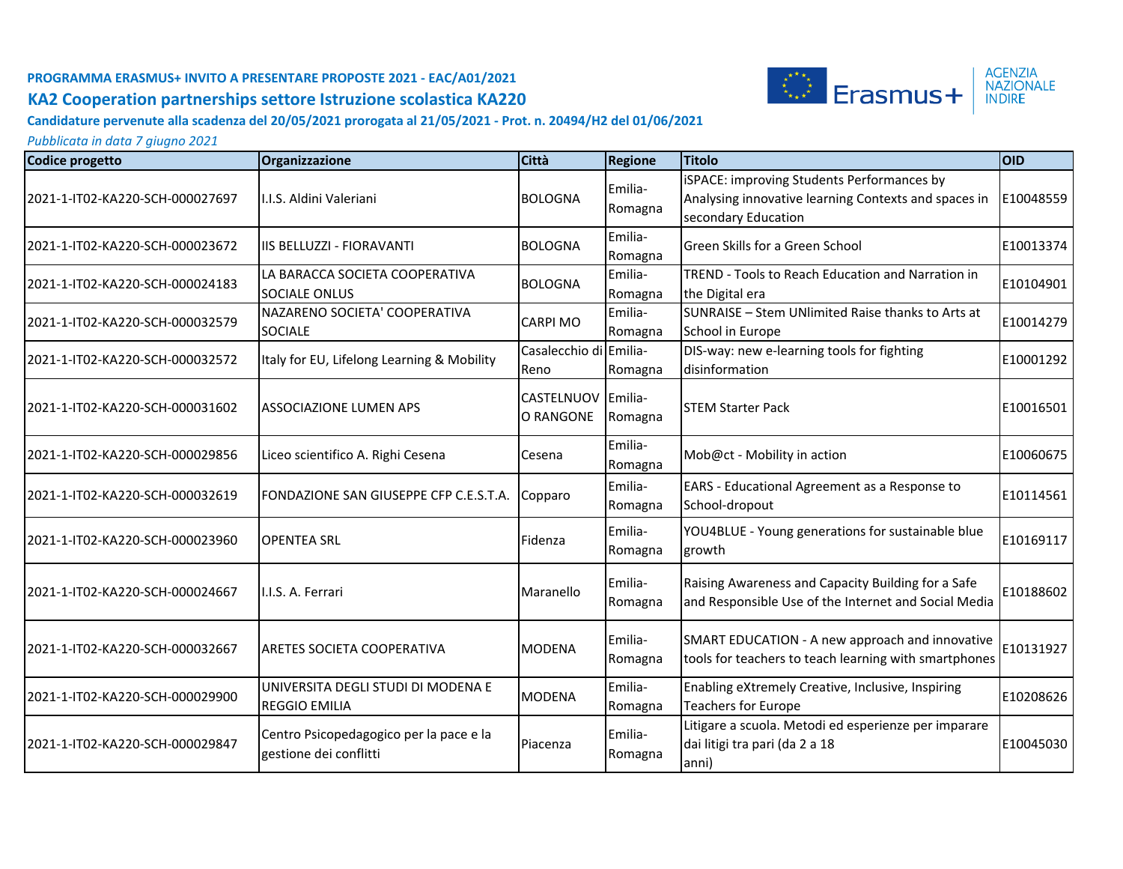

**Candidature pervenute alla scadenza del 20/05/2021 prorogata al 21/05/2021 - Prot. n. 20494/H2 del 01/06/2021**

| Codice progetto                  | Organizzazione                                                    | <b>Città</b>                    | <b>Regione</b>     | <b>Titolo</b>                                                                                                             | <b>OID</b> |
|----------------------------------|-------------------------------------------------------------------|---------------------------------|--------------------|---------------------------------------------------------------------------------------------------------------------------|------------|
| 2021-1-IT02-KA220-SCH-000027697  | II.I.S. Aldini Valeriani                                          | <b>BOLOGNA</b>                  | Emilia-<br>Romagna | iSPACE: improving Students Performances by<br>Analysing innovative learning Contexts and spaces in<br>secondary Education | E10048559  |
| l2021-1-IT02-KA220-SCH-000023672 | <b>IIS BELLUZZI - FIORAVANTI</b>                                  | <b>BOLOGNA</b>                  | Emilia-<br>Romagna | Green Skills for a Green School                                                                                           | E10013374  |
| 2021-1-IT02-KA220-SCH-000024183  | LA BARACCA SOCIETA COOPERATIVA<br><b>SOCIALE ONLUS</b>            | <b>BOLOGNA</b>                  | Emilia-<br>Romagna | TREND - Tools to Reach Education and Narration in<br>the Digital era                                                      | E10104901  |
| 2021-1-IT02-KA220-SCH-000032579  | NAZARENO SOCIETA' COOPERATIVA<br><b>SOCIALE</b>                   | <b>CARPI MO</b>                 | Emilia-<br>Romagna | SUNRAISE - Stem UNlimited Raise thanks to Arts at<br>School in Europe                                                     | E10014279  |
| 2021-1-IT02-KA220-SCH-000032572  | Italy for EU, Lifelong Learning & Mobility                        | Casalecchio di Emilia-<br>Reno  | Romagna            | DIS-way: new e-learning tools for fighting<br>disinformation                                                              | E10001292  |
| 2021-1-IT02-KA220-SCH-000031602  | <b>ASSOCIAZIONE LUMEN APS</b>                                     | CASTELNUOV Emilia-<br>O RANGONE | Romagna            | <b>STEM Starter Pack</b>                                                                                                  | E10016501  |
| 2021-1-IT02-KA220-SCH-000029856  | Liceo scientifico A. Righi Cesena                                 | Cesena                          | Emilia-<br>Romagna | Mob@ct - Mobility in action                                                                                               | E10060675  |
| 2021-1-IT02-KA220-SCH-000032619  | FONDAZIONE SAN GIUSEPPE CFP C.E.S.T.A.                            | Copparo                         | Emilia-<br>Romagna | EARS - Educational Agreement as a Response to<br>School-dropout                                                           | E10114561  |
| l2021-1-IT02-KA220-SCH-000023960 | <b>OPENTEA SRL</b>                                                | Fidenza                         | Emilia-<br>Romagna | YOU4BLUE - Young generations for sustainable blue<br>growth                                                               | E10169117  |
| 2021-1-IT02-KA220-SCH-000024667  | I.I.S. A. Ferrari                                                 | Maranello                       | Emilia-<br>Romagna | Raising Awareness and Capacity Building for a Safe<br>and Responsible Use of the Internet and Social Media                | E10188602  |
| 2021-1-IT02-KA220-SCH-000032667  | <b>ARETES SOCIETA COOPERATIVA</b>                                 | <b>MODENA</b>                   | Emilia-<br>Romagna | SMART EDUCATION - A new approach and innovative<br>tools for teachers to teach learning with smartphones                  | E10131927  |
| 2021-1-IT02-KA220-SCH-000029900  | UNIVERSITA DEGLI STUDI DI MODENA E<br><b>REGGIO EMILIA</b>        | <b>MODENA</b>                   | Emilia-<br>Romagna | Enabling eXtremely Creative, Inclusive, Inspiring<br><b>Teachers for Europe</b>                                           | E10208626  |
| 2021-1-IT02-KA220-SCH-000029847  | Centro Psicopedagogico per la pace e la<br>gestione dei conflitti | Piacenza                        | Emilia-<br>Romagna | Litigare a scuola. Metodi ed esperienze per imparare<br>dai litigi tra pari (da 2 a 18<br>anni)                           | E10045030  |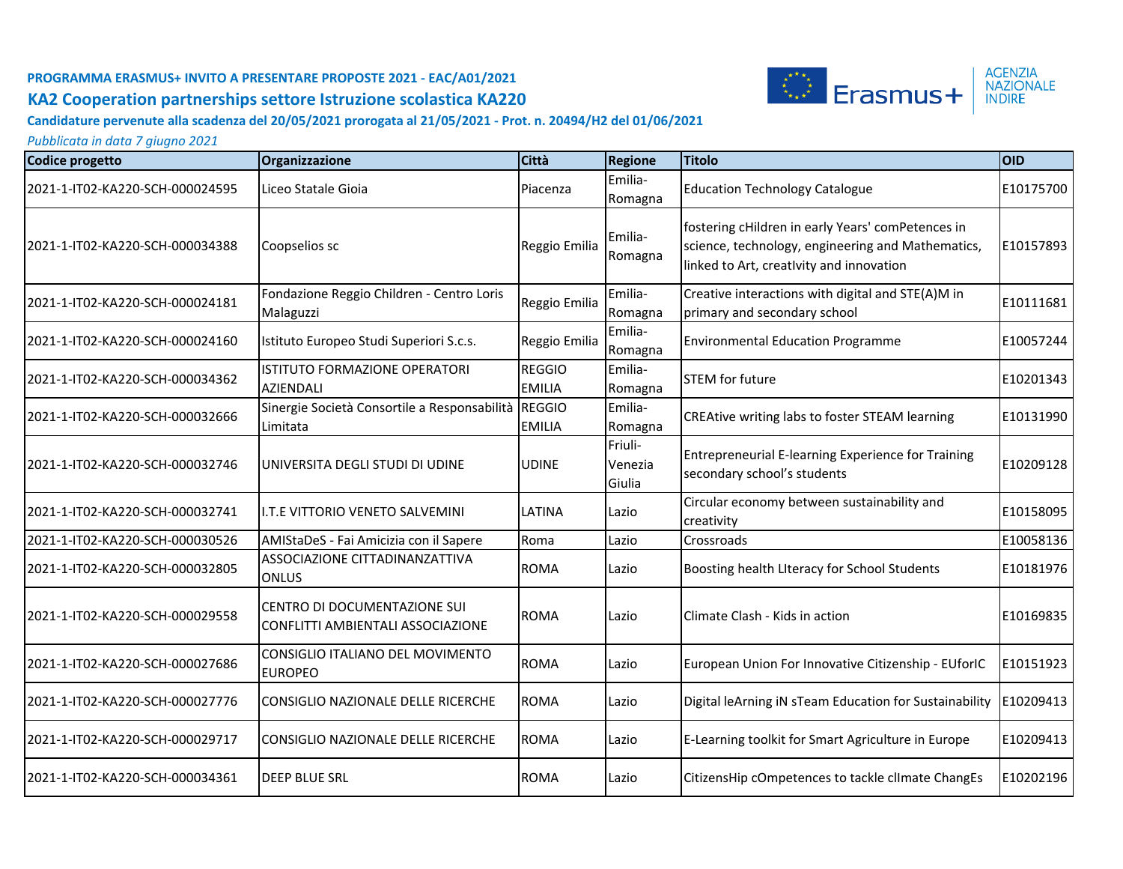

#### **Candidature pervenute alla scadenza del 20/05/2021 prorogata al 21/05/2021 - Prot. n. 20494/H2 del 01/06/2021**

| <b>Codice progetto</b>          | Organizzazione                                                    | Città                          | <b>Regione</b>               | <b>Titolo</b>                                                                                                                                      | <b>OID</b> |
|---------------------------------|-------------------------------------------------------------------|--------------------------------|------------------------------|----------------------------------------------------------------------------------------------------------------------------------------------------|------------|
| 2021-1-IT02-KA220-SCH-000024595 | Liceo Statale Gioia                                               | Piacenza                       | Emilia-<br>Romagna           | <b>Education Technology Catalogue</b>                                                                                                              | E10175700  |
| 2021-1-IT02-KA220-SCH-000034388 | Coopselios sc                                                     | Reggio Emilia                  | Emilia-<br>Romagna           | fostering cHildren in early Years' comPetences in<br>science, technology, engineering and Mathematics,<br>linked to Art, creativity and innovation | E10157893  |
| 2021-1-IT02-KA220-SCH-000024181 | Fondazione Reggio Children - Centro Loris<br>Malaguzzi            | Reggio Emilia                  | Emilia-<br>Romagna           | Creative interactions with digital and STE(A)M in<br>primary and secondary school                                                                  | E10111681  |
| 2021-1-IT02-KA220-SCH-000024160 | Istituto Europeo Studi Superiori S.c.s.                           | Reggio Emilia                  | Emilia-<br>Romagna           | <b>Environmental Education Programme</b>                                                                                                           | E10057244  |
| 2021-1-IT02-KA220-SCH-000034362 | ISTITUTO FORMAZIONE OPERATORI<br><b>AZIENDALI</b>                 | <b>REGGIO</b><br><b>EMILIA</b> | Emilia-<br>Romagna           | <b>STEM for future</b>                                                                                                                             | E10201343  |
| 2021-1-IT02-KA220-SCH-000032666 | Sinergie Società Consortile a Responsabilità REGGIO<br>Limitata   | <b>EMILIA</b>                  | Emilia-<br>Romagna           | CREAtive writing labs to foster STEAM learning                                                                                                     | E10131990  |
| 2021-1-IT02-KA220-SCH-000032746 | UNIVERSITA DEGLI STUDI DI UDINE                                   | <b>UDINE</b>                   | Friuli-<br>Venezia<br>Giulia | Entrepreneurial E-learning Experience for Training<br>secondary school's students                                                                  | E10209128  |
| 2021-1-IT02-KA220-SCH-000032741 | <b>II.T.E VITTORIO VENETO SALVEMINI</b>                           | LATINA                         | Lazio                        | Circular economy between sustainability and<br>creativity                                                                                          | E10158095  |
| 2021-1-IT02-KA220-SCH-000030526 | AMIStaDeS - Fai Amicizia con il Sapere                            | Roma                           | Lazio                        | Crossroads                                                                                                                                         | E10058136  |
| 2021-1-IT02-KA220-SCH-000032805 | ASSOCIAZIONE CITTADINANZATTIVA<br><b>ONLUS</b>                    | <b>ROMA</b>                    | Lazio                        | Boosting health Literacy for School Students                                                                                                       | E10181976  |
| 2021-1-IT02-KA220-SCH-000029558 | CENTRO DI DOCUMENTAZIONE SUI<br>CONFLITTI AMBIENTALI ASSOCIAZIONE | <b>ROMA</b>                    | Lazio                        | Climate Clash - Kids in action                                                                                                                     | E10169835  |
| 2021-1-IT02-KA220-SCH-000027686 | CONSIGLIO ITALIANO DEL MOVIMENTO<br><b>EUROPEO</b>                | <b>ROMA</b>                    | Lazio                        | European Union For Innovative Citizenship - EUforIC                                                                                                | E10151923  |
| 2021-1-IT02-KA220-SCH-000027776 | CONSIGLIO NAZIONALE DELLE RICERCHE                                | <b>ROMA</b>                    | Lazio                        | Digital leArning iN sTeam Education for Sustainability                                                                                             | E10209413  |
| 2021-1-IT02-KA220-SCH-000029717 | CONSIGLIO NAZIONALE DELLE RICERCHE                                | <b>ROMA</b>                    | Lazio                        | E-Learning toolkit for Smart Agriculture in Europe                                                                                                 | E10209413  |
| 2021-1-IT02-KA220-SCH-000034361 | <b>IDEEP BLUE SRL</b>                                             | <b>ROMA</b>                    | Lazio                        | CitizensHip cOmpetences to tackle clImate ChangEs                                                                                                  | E10202196  |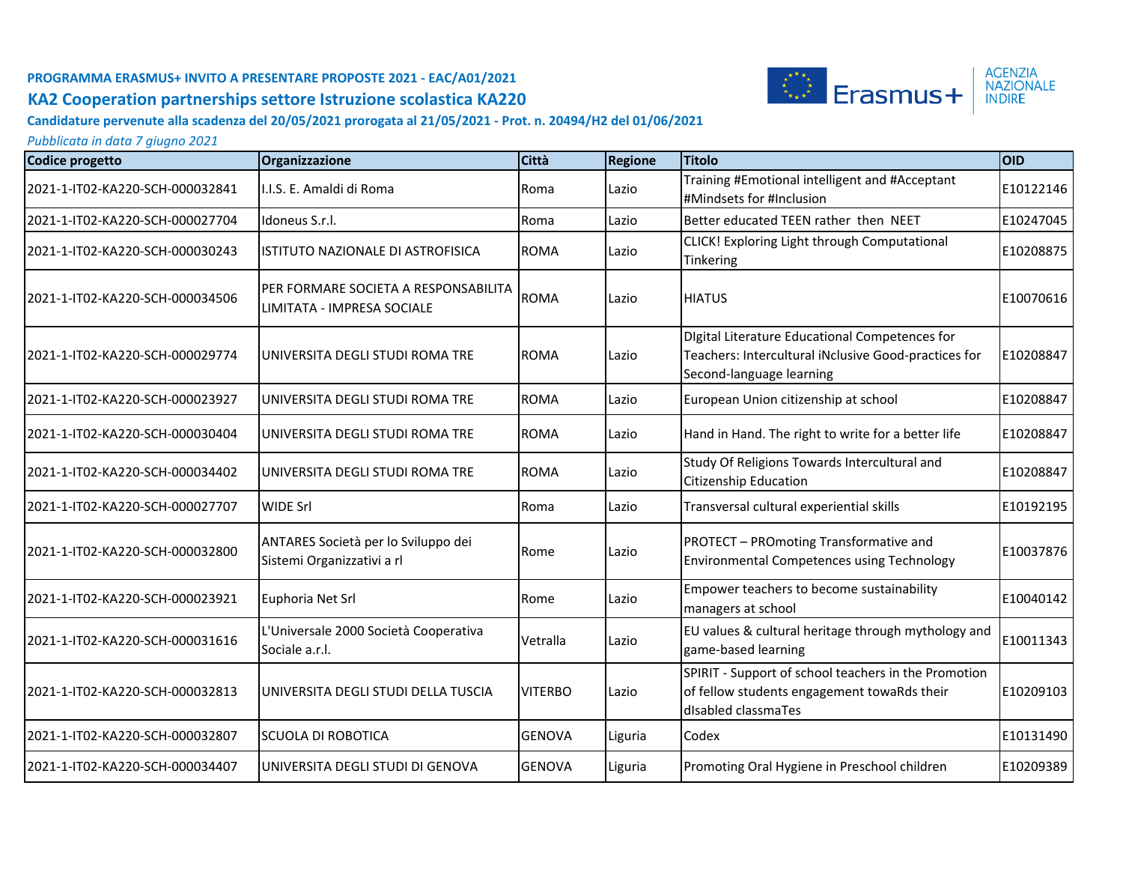

#### **Candidature pervenute alla scadenza del 20/05/2021 prorogata al 21/05/2021 - Prot. n. 20494/H2 del 01/06/2021**

| Codice progetto                  | Organizzazione                                                     | Città          | <b>Regione</b> | <b>Titolo</b>                                                                                                                             | loid      |
|----------------------------------|--------------------------------------------------------------------|----------------|----------------|-------------------------------------------------------------------------------------------------------------------------------------------|-----------|
| 2021-1-IT02-KA220-SCH-000032841  | I.I.S. E. Amaldi di Roma                                           | Roma           | Lazio          | Training #Emotional intelligent and #Acceptant<br>#Mindsets for #Inclusion                                                                | E10122146 |
| 2021-1-IT02-KA220-SCH-000027704  | Idoneus S.r.l.                                                     | Roma           | Lazio          | Better educated TEEN rather then NEET                                                                                                     | E10247045 |
| 2021-1-IT02-KA220-SCH-000030243  | ISTITUTO NAZIONALE DI ASTROFISICA                                  | <b>ROMA</b>    | Lazio          | CLICK! Exploring Light through Computational<br>Tinkering                                                                                 | E10208875 |
| 2021-1-IT02-KA220-SCH-000034506  | PER FORMARE SOCIETA A RESPONSABILITA<br>LIMITATA - IMPRESA SOCIALE | <b>ROMA</b>    | Lazio          | <b>HIATUS</b>                                                                                                                             | E10070616 |
| 2021-1-IT02-KA220-SCH-000029774  | UNIVERSITA DEGLI STUDI ROMA TRE                                    | <b>ROMA</b>    | Lazio          | <b>Digital Literature Educational Competences for</b><br>Teachers: Intercultural iNclusive Good-practices for<br>Second-language learning | E10208847 |
| 2021-1-IT02-KA220-SCH-000023927  | UNIVERSITA DEGLI STUDI ROMA TRE                                    | <b>ROMA</b>    | Lazio          | European Union citizenship at school                                                                                                      | E10208847 |
| l2021-1-IT02-KA220-SCH-000030404 | UNIVERSITA DEGLI STUDI ROMA TRE                                    | <b>ROMA</b>    | Lazio          | Hand in Hand. The right to write for a better life                                                                                        | E10208847 |
| 2021-1-IT02-KA220-SCH-000034402  | UNIVERSITA DEGLI STUDI ROMA TRE                                    | <b>ROMA</b>    | Lazio          | Study Of Religions Towards Intercultural and<br>Citizenship Education                                                                     | E10208847 |
| 2021-1-IT02-KA220-SCH-000027707  | <b>WIDE Srl</b>                                                    | Roma           | Lazio          | Transversal cultural experiential skills                                                                                                  | E10192195 |
| 2021-1-IT02-KA220-SCH-000032800  | ANTARES Società per lo Sviluppo dei<br>Sistemi Organizzativi a rl  | Rome           | Lazio          | PROTECT - PROmoting Transformative and<br>Environmental Competences using Technology                                                      | E10037876 |
| 2021-1-IT02-KA220-SCH-000023921  | Euphoria Net Srl                                                   | Rome           | Lazio          | Empower teachers to become sustainability<br>managers at school                                                                           | E10040142 |
| 2021-1-IT02-KA220-SCH-000031616  | L'Universale 2000 Società Cooperativa<br>Sociale a.r.l.            | Vetralla       | Lazio          | EU values & cultural heritage through mythology and<br>game-based learning                                                                | E10011343 |
| 2021-1-IT02-KA220-SCH-000032813  | UNIVERSITA DEGLI STUDI DELLA TUSCIA                                | <b>VITERBO</b> | Lazio          | SPIRIT - Support of school teachers in the Promotion<br>of fellow students engagement towaRds their<br>disabled classmaTes                | E10209103 |
| 2021-1-IT02-KA220-SCH-000032807  | <b>SCUOLA DI ROBOTICA</b>                                          | <b>GENOVA</b>  | Liguria        | Codex                                                                                                                                     | E10131490 |
| 2021-1-IT02-KA220-SCH-000034407  | UNIVERSITA DEGLI STUDI DI GENOVA                                   | <b>GENOVA</b>  | Liguria        | Promoting Oral Hygiene in Preschool children                                                                                              | E10209389 |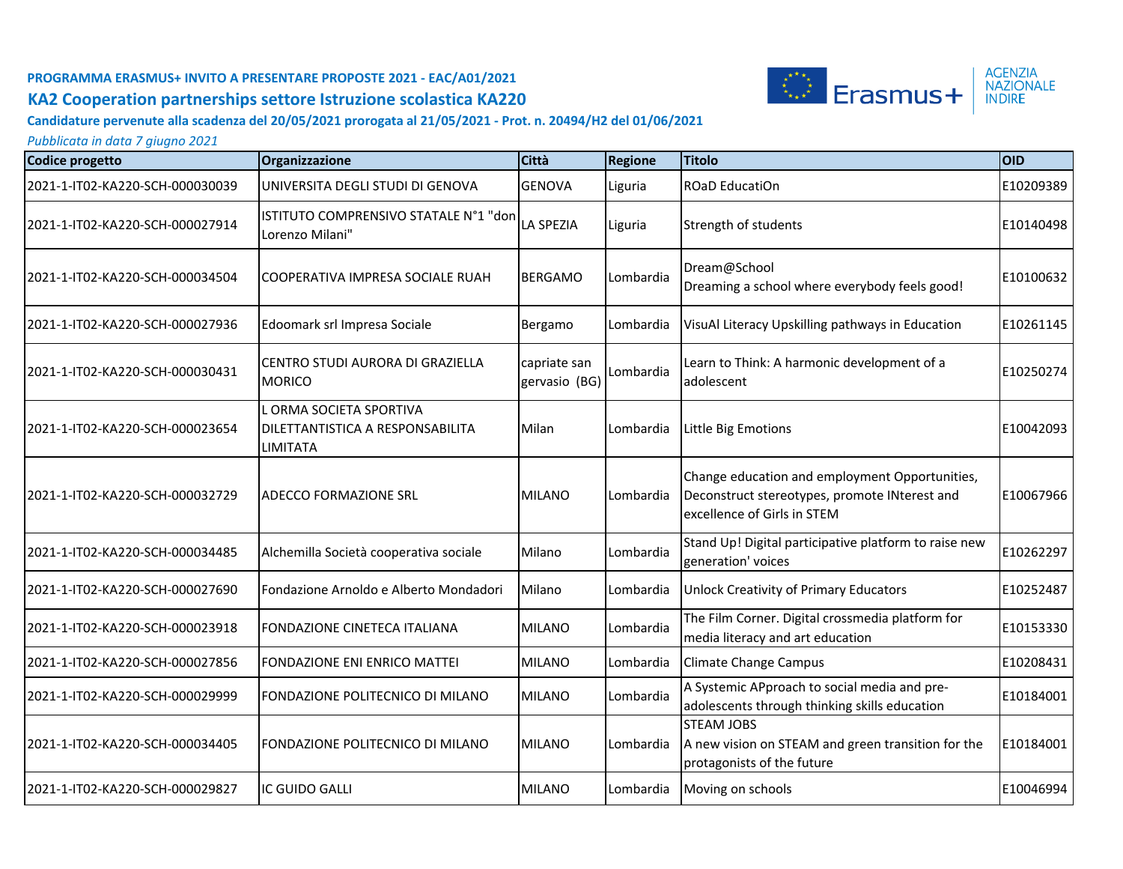

#### **Candidature pervenute alla scadenza del 20/05/2021 prorogata al 21/05/2021 - Prot. n. 20494/H2 del 01/06/2021**

| <b>Codice progetto</b>          | Organizzazione                                                                        | Città                         | <b>Regione</b> | <b>Titolo</b>                                                                                                                  | <b>OID</b> |
|---------------------------------|---------------------------------------------------------------------------------------|-------------------------------|----------------|--------------------------------------------------------------------------------------------------------------------------------|------------|
| 2021-1-IT02-KA220-SCH-000030039 | UNIVERSITA DEGLI STUDI DI GENOVA                                                      | <b>GENOVA</b>                 | Liguria        | ROaD EducatiOn                                                                                                                 | E10209389  |
| 2021-1-IT02-KA220-SCH-000027914 | ISTITUTO COMPRENSIVO STATALE N°1 "don<br>Lorenzo Milani"                              | <b>LA SPEZIA</b>              | Liguria        | Strength of students                                                                                                           | E10140498  |
| 2021-1-IT02-KA220-SCH-000034504 | <b>ICOOPERATIVA IMPRESA SOCIALE RUAH</b>                                              | <b>BERGAMO</b>                | Lombardia      | Dream@School<br>Dreaming a school where everybody feels good!                                                                  | E10100632  |
| 2021-1-IT02-KA220-SCH-000027936 | Edoomark srl Impresa Sociale                                                          | Bergamo                       | Lombardia      | VisuAl Literacy Upskilling pathways in Education                                                                               | E10261145  |
| 2021-1-IT02-KA220-SCH-000030431 | CENTRO STUDI AURORA DI GRAZIELLA<br><b>MORICO</b>                                     | capriate san<br>gervasio (BG) | Lombardia      | Learn to Think: A harmonic development of a<br>adolescent                                                                      | E10250274  |
| 2021-1-IT02-KA220-SCH-000023654 | . ORMA SOCIETA SPORTIVA<br><b>DILETTANTISTICA A RESPONSABILITA</b><br><b>LIMITATA</b> | Milan                         | Lombardia      | Little Big Emotions                                                                                                            | E10042093  |
| 2021-1-IT02-KA220-SCH-000032729 | IADECCO FORMAZIONE SRL                                                                | <b>MILANO</b>                 | Lombardia      | Change education and employment Opportunities,<br>Deconstruct stereotypes, promote INterest and<br>excellence of Girls in STEM | E10067966  |
| 2021-1-IT02-KA220-SCH-000034485 | Alchemilla Società cooperativa sociale                                                | Milano                        | Lombardia      | Stand Up! Digital participative platform to raise new<br>generation' voices                                                    | E10262297  |
| 2021-1-IT02-KA220-SCH-000027690 | Fondazione Arnoldo e Alberto Mondadori                                                | Milano                        | Lombardia      | <b>Unlock Creativity of Primary Educators</b>                                                                                  | E10252487  |
| 2021-1-IT02-KA220-SCH-000023918 | <b>FONDAZIONE CINETECA ITALIANA</b>                                                   | <b>MILANO</b>                 | Lombardia      | The Film Corner. Digital crossmedia platform for<br>media literacy and art education                                           | E10153330  |
| 2021-1-IT02-KA220-SCH-000027856 | <b>FONDAZIONE ENI ENRICO MATTEI</b>                                                   | <b>MILANO</b>                 | Lombardia      | <b>Climate Change Campus</b>                                                                                                   | E10208431  |
| 2021-1-IT02-KA220-SCH-000029999 | FONDAZIONE POLITECNICO DI MILANO                                                      | <b>MILANO</b>                 | Lombardia      | A Systemic APproach to social media and pre-<br>adolescents through thinking skills education                                  | E10184001  |
| 2021-1-IT02-KA220-SCH-000034405 | FONDAZIONE POLITECNICO DI MILANO                                                      | <b>MILANO</b>                 | Lombardia      | <b>STEAM JOBS</b><br>A new vision on STEAM and green transition for the<br>protagonists of the future                          | E10184001  |
| 2021-1-IT02-KA220-SCH-000029827 | IC GUIDO GALLI                                                                        | <b>MILANO</b>                 | Lombardia      | Moving on schools                                                                                                              | E10046994  |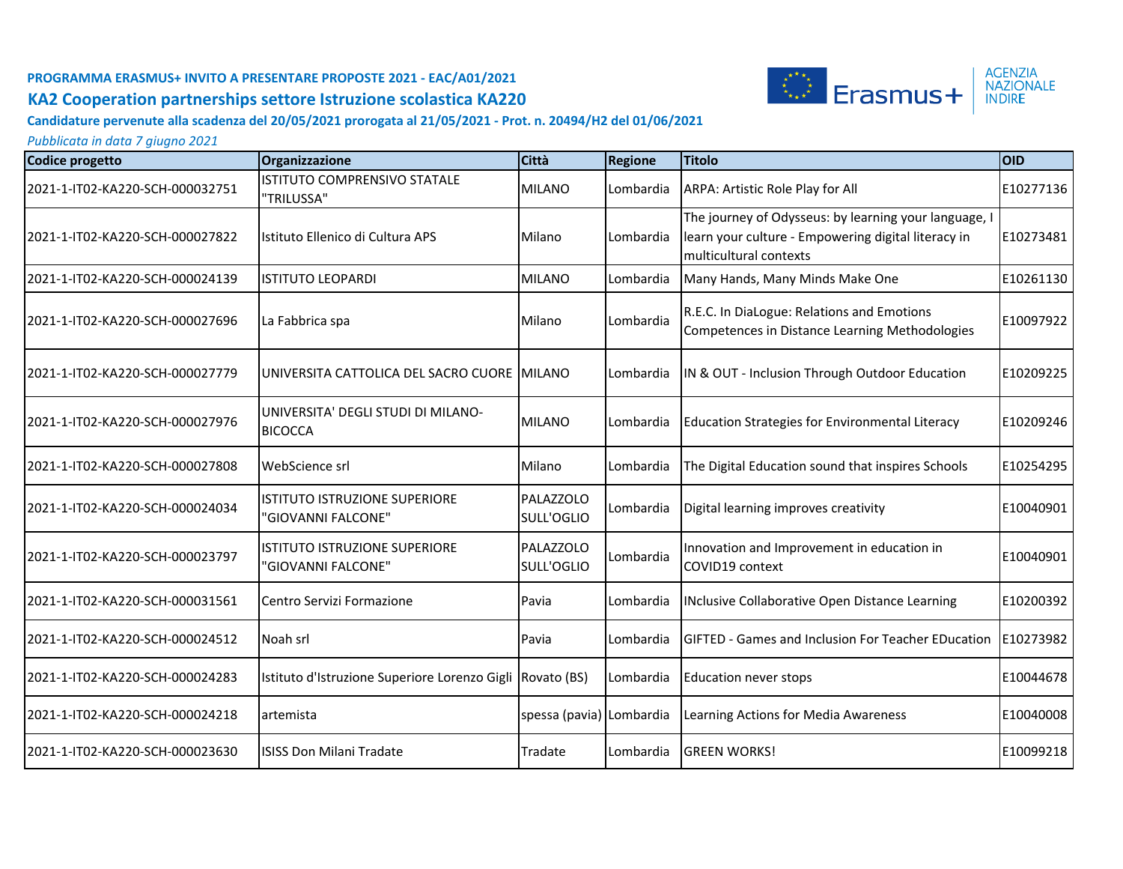

**Candidature pervenute alla scadenza del 20/05/2021 prorogata al 21/05/2021 - Prot. n. 20494/H2 del 01/06/2021**

| Codice progetto                 | Organizzazione                                             | <b>Città</b>             | <b>Regione</b> | <b>Titolo</b>                                                                                                                          | OID       |
|---------------------------------|------------------------------------------------------------|--------------------------|----------------|----------------------------------------------------------------------------------------------------------------------------------------|-----------|
| 2021-1-IT02-KA220-SCH-000032751 | ISTITUTO COMPRENSIVO STATALE<br>"TRILUSSA"                 | <b>MILANO</b>            | Lombardia      | ARPA: Artistic Role Play for All                                                                                                       | E10277136 |
| 2021-1-IT02-KA220-SCH-000027822 | Istituto Ellenico di Cultura APS                           | Milano                   | Lombardia      | The journey of Odysseus: by learning your language, I<br>learn your culture - Empowering digital literacy in<br>multicultural contexts | E10273481 |
| 2021-1-IT02-KA220-SCH-000024139 | <b>ISTITUTO LEOPARDI</b>                                   | <b>MILANO</b>            | Lombardia      | Many Hands, Many Minds Make One                                                                                                        | E10261130 |
| 2021-1-IT02-KA220-SCH-000027696 | La Fabbrica spa                                            | Milano                   | Lombardia      | R.E.C. In DiaLogue: Relations and Emotions<br>Competences in Distance Learning Methodologies                                           | E10097922 |
| 2021-1-IT02-KA220-SCH-000027779 | UNIVERSITA CATTOLICA DEL SACRO CUORE IMILANO               |                          | Lombardia      | IN & OUT - Inclusion Through Outdoor Education                                                                                         | E10209225 |
| 2021-1-IT02-KA220-SCH-000027976 | UNIVERSITA' DEGLI STUDI DI MILANO-<br><b>BICOCCA</b>       | <b>MILANO</b>            | Lombardia      | Education Strategies for Environmental Literacy                                                                                        | E10209246 |
| 2021-1-IT02-KA220-SCH-000027808 | WebScience srl                                             | Milano                   | Lombardia      | The Digital Education sound that inspires Schools                                                                                      | E10254295 |
| 2021-1-IT02-KA220-SCH-000024034 | <b>ISTITUTO ISTRUZIONE SUPERIORE</b><br>"GIOVANNI FALCONE" | PALAZZOLO<br>SULL'OGLIO  | Lombardia      | Digital learning improves creativity                                                                                                   | E10040901 |
| 2021-1-IT02-KA220-SCH-000023797 | ISTITUTO ISTRUZIONE SUPERIORE<br>"GIOVANNI FALCONE"        | PALAZZOLO<br>SULL'OGLIO  | Lombardia      | Innovation and Improvement in education in<br>COVID19 context                                                                          | E10040901 |
| 2021-1-IT02-KA220-SCH-000031561 | Centro Servizi Formazione                                  | Pavia                    | Lombardia      | INclusive Collaborative Open Distance Learning                                                                                         | E10200392 |
| 2021-1-IT02-KA220-SCH-000024512 | Noah srl                                                   | Pavia                    | Lombardia      | <b>GIFTED - Games and Inclusion For Teacher EDucation</b>                                                                              | E10273982 |
| 2021-1-IT02-KA220-SCH-000024283 | Istituto d'Istruzione Superiore Lorenzo Gigli Rovato (BS)  |                          | Lombardia      | <b>Education never stops</b>                                                                                                           | E10044678 |
| 2021-1-IT02-KA220-SCH-000024218 | artemista                                                  | spessa (pavia) Lombardia |                | Learning Actions for Media Awareness                                                                                                   | E10040008 |
| 2021-1-IT02-KA220-SCH-000023630 | <b>ISISS Don Milani Tradate</b>                            | Tradate                  | Lombardia      | <b>GREEN WORKS!</b>                                                                                                                    | E10099218 |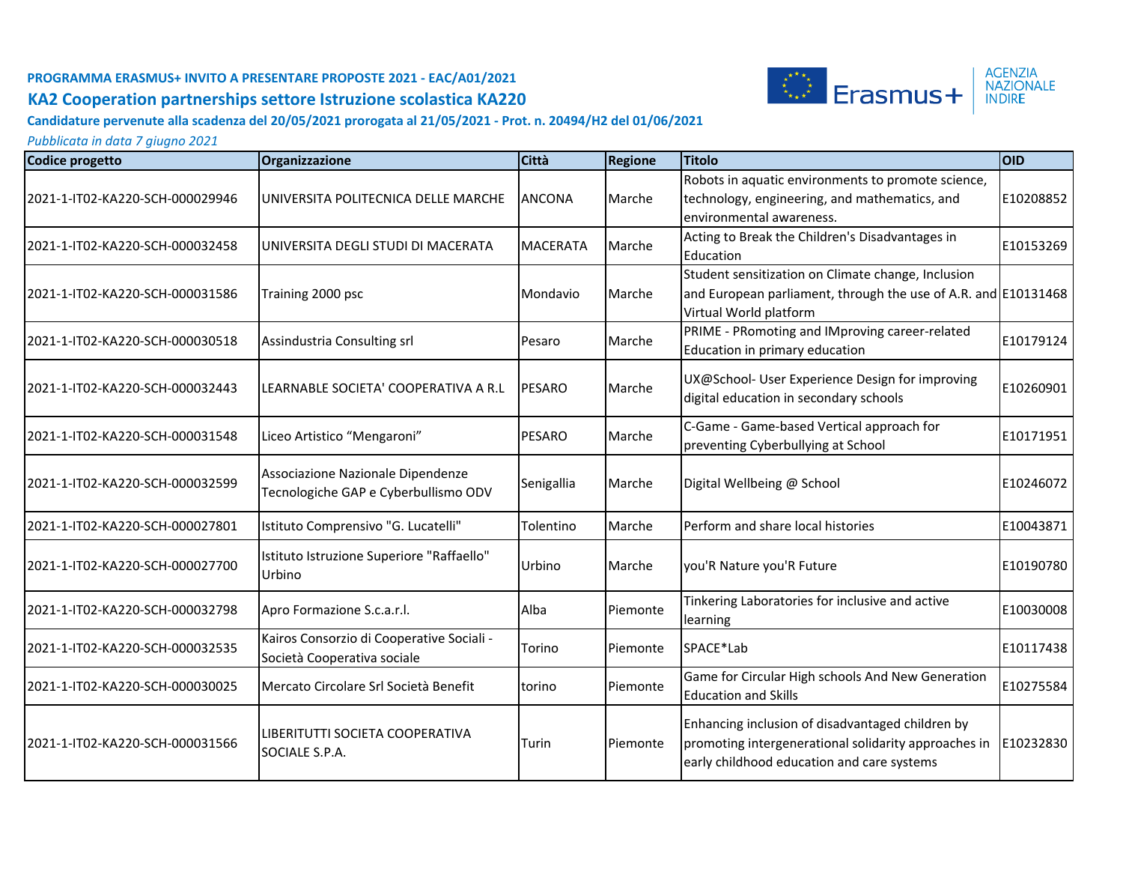

**Candidature pervenute alla scadenza del 20/05/2021 prorogata al 21/05/2021 - Prot. n. 20494/H2 del 01/06/2021**

| Codice progetto                 | Organizzazione                                                            | Città           | <b>Regione</b>  | <b>Titolo</b>                                                                                                                                          | <b>OID</b> |
|---------------------------------|---------------------------------------------------------------------------|-----------------|-----------------|--------------------------------------------------------------------------------------------------------------------------------------------------------|------------|
| 2021-1-IT02-KA220-SCH-000029946 | UNIVERSITA POLITECNICA DELLE MARCHE                                       | <b>ANCONA</b>   | Marche          | Robots in aquatic environments to promote science,<br>technology, engineering, and mathematics, and<br>environmental awareness.                        | E10208852  |
| 2021-1-IT02-KA220-SCH-000032458 | IUNIVERSITA DEGLI STUDI DI MACERATA                                       | <b>MACERATA</b> | Marche          | Acting to Break the Children's Disadvantages in<br>Education                                                                                           | E10153269  |
| 2021-1-IT02-KA220-SCH-000031586 | Training 2000 psc                                                         | Mondavio        | Marche          | Student sensitization on Climate change, Inclusion<br>and European parliament, through the use of A.R. and E10131468<br>Virtual World platform         |            |
| 2021-1-IT02-KA220-SCH-000030518 | Assindustria Consulting srl                                               | Pesaro          | Marche          | PRIME - PRomoting and IMproving career-related<br>Education in primary education                                                                       | E10179124  |
| 2021-1-IT02-KA220-SCH-000032443 | ILEARNABLE SOCIETA' COOPERATIVA A R.L                                     | <b>PESARO</b>   | Marche          | UX@School- User Experience Design for improving<br>digital education in secondary schools                                                              | E10260901  |
| 2021-1-IT02-KA220-SCH-000031548 | Liceo Artistico "Mengaroni"                                               | <b>PESARO</b>   | Marche          | C-Game - Game-based Vertical approach for<br>preventing Cyberbullying at School                                                                        | E10171951  |
| 2021-1-IT02-KA220-SCH-000032599 | Associazione Nazionale Dipendenze<br>Tecnologiche GAP e Cyberbullismo ODV | Senigallia      | Marche          | Digital Wellbeing @ School                                                                                                                             | E10246072  |
| 2021-1-IT02-KA220-SCH-000027801 | Istituto Comprensivo "G. Lucatelli"                                       | Tolentino       | Marche          | Perform and share local histories                                                                                                                      | E10043871  |
| 2021-1-IT02-KA220-SCH-000027700 | Istituto Istruzione Superiore "Raffaello"<br>Urbino                       | Urbino          | Marche          | you'R Nature you'R Future                                                                                                                              | E10190780  |
| 2021-1-IT02-KA220-SCH-000032798 | Apro Formazione S.c.a.r.l.                                                | Alba            | <b>Piemonte</b> | Tinkering Laboratories for inclusive and active<br>learning                                                                                            | E10030008  |
| 2021-1-IT02-KA220-SCH-000032535 | Kairos Consorzio di Cooperative Sociali -<br>Società Cooperativa sociale  | Torino          | <b>Piemonte</b> | SPACE*Lab                                                                                                                                              | E10117438  |
| 2021-1-IT02-KA220-SCH-000030025 | Mercato Circolare Srl Società Benefit                                     | Itorino         | lPiemonte       | Game for Circular High schools And New Generation<br><b>Education and Skills</b>                                                                       | E10275584  |
| 2021-1-IT02-KA220-SCH-000031566 | ILIBERITUTTI SOCIETA COOPERATIVA<br>SOCIALE S.P.A.                        | Turin           | Piemonte        | Enhancing inclusion of disadvantaged children by<br>promoting intergenerational solidarity approaches in<br>early childhood education and care systems | E10232830  |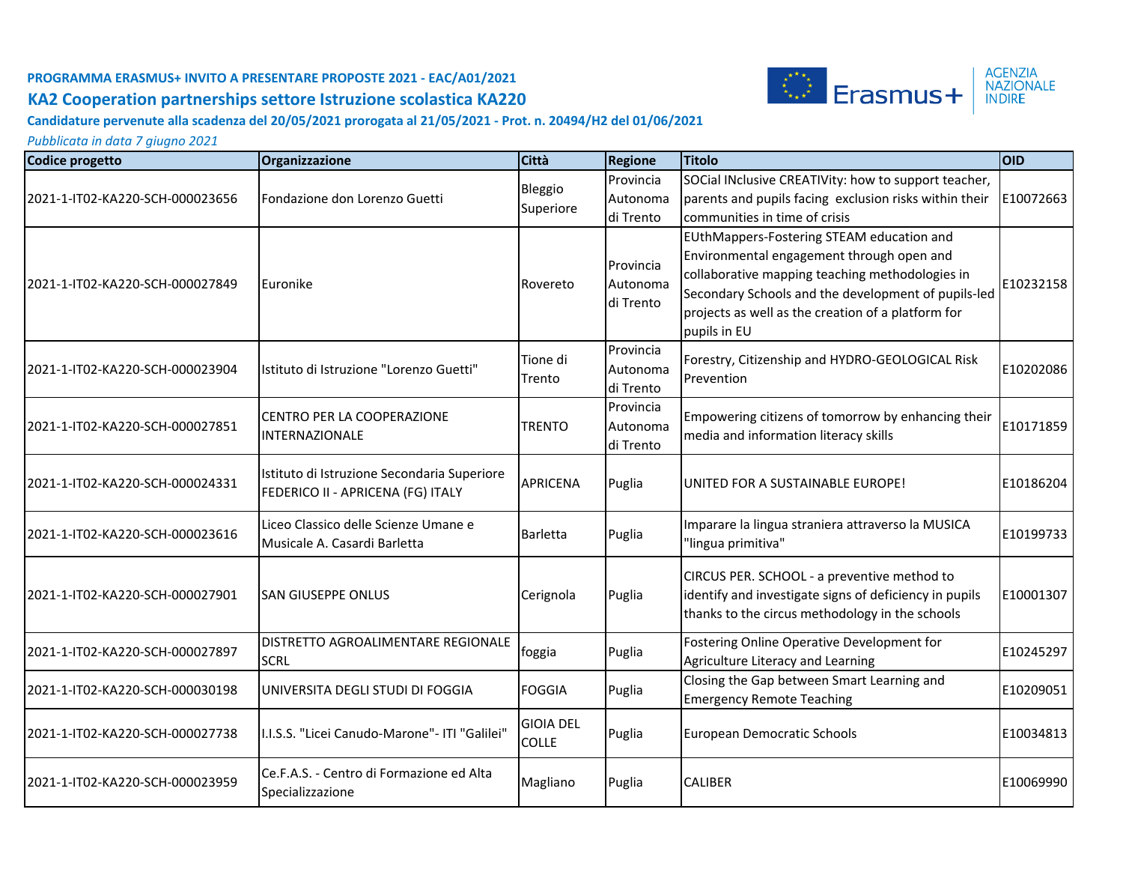

**Candidature pervenute alla scadenza del 20/05/2021 prorogata al 21/05/2021 - Prot. n. 20494/H2 del 01/06/2021**

| Codice progetto                 | Organizzazione                                                                   | Città                            | <b>Regione</b>                     | <b>Titolo</b>                                                                                                                                                                                                                                                          | OID       |
|---------------------------------|----------------------------------------------------------------------------------|----------------------------------|------------------------------------|------------------------------------------------------------------------------------------------------------------------------------------------------------------------------------------------------------------------------------------------------------------------|-----------|
| 2021-1-IT02-KA220-SCH-000023656 | Fondazione don Lorenzo Guetti                                                    | Bleggio<br>Superiore             | Provincia<br>Autonoma<br>di Trento | SOCial INclusive CREATIVity: how to support teacher,<br>parents and pupils facing exclusion risks within their<br>communities in time of crisis                                                                                                                        | E10072663 |
| 2021-1-IT02-KA220-SCH-000027849 | Euronike                                                                         | Rovereto                         | Provincia<br>Autonoma<br>di Trento | EUthMappers-Fostering STEAM education and<br>Environmental engagement through open and<br>collaborative mapping teaching methodologies in<br>Secondary Schools and the development of pupils-led<br>projects as well as the creation of a platform for<br>pupils in EU | E10232158 |
| 2021-1-IT02-KA220-SCH-000023904 | Istituto di Istruzione "Lorenzo Guetti"                                          | Tione di<br>Trento               | Provincia<br>Autonoma<br>di Trento | Forestry, Citizenship and HYDRO-GEOLOGICAL Risk<br>Prevention                                                                                                                                                                                                          | E10202086 |
| 2021-1-IT02-KA220-SCH-000027851 | CENTRO PER LA COOPERAZIONE<br><b>INTERNAZIONALE</b>                              | <b>TRENTO</b>                    | Provincia<br>Autonoma<br>di Trento | Empowering citizens of tomorrow by enhancing their<br>media and information literacy skills                                                                                                                                                                            | E10171859 |
| 2021-1-IT02-KA220-SCH-000024331 | Istituto di Istruzione Secondaria Superiore<br>FEDERICO II - APRICENA (FG) ITALY | <b>APRICENA</b>                  | Puglia                             | UNITED FOR A SUSTAINABLE EUROPE!                                                                                                                                                                                                                                       | E10186204 |
| 2021-1-IT02-KA220-SCH-000023616 | Liceo Classico delle Scienze Umane e<br>Musicale A. Casardi Barletta             | <b>Barletta</b>                  | Puglia                             | Imparare la lingua straniera attraverso la MUSICA<br>"lingua primitiva"                                                                                                                                                                                                | E10199733 |
| 2021-1-IT02-KA220-SCH-000027901 | <b>SAN GIUSEPPE ONLUS</b>                                                        | Cerignola                        | Puglia                             | CIRCUS PER. SCHOOL - a preventive method to<br>identify and investigate signs of deficiency in pupils<br>thanks to the circus methodology in the schools                                                                                                               | E10001307 |
| 2021-1-IT02-KA220-SCH-000027897 | DISTRETTO AGROALIMENTARE REGIONALE<br><b>SCRL</b>                                | foggia                           | Puglia                             | Fostering Online Operative Development for<br>Agriculture Literacy and Learning                                                                                                                                                                                        | E10245297 |
| 2021-1-IT02-KA220-SCH-000030198 | UNIVERSITA DEGLI STUDI DI FOGGIA                                                 | <b>FOGGIA</b>                    | Puglia                             | Closing the Gap between Smart Learning and<br><b>Emergency Remote Teaching</b>                                                                                                                                                                                         | E10209051 |
| 2021-1-IT02-KA220-SCH-000027738 | I.I.S.S. "Licei Canudo-Marone"- ITI "Galilei"                                    | <b>GIOIA DEL</b><br><b>COLLE</b> | Puglia                             | European Democratic Schools                                                                                                                                                                                                                                            | E10034813 |
| 2021-1-IT02-KA220-SCH-000023959 | Ce.F.A.S. - Centro di Formazione ed Alta<br>Specializzazione                     | Magliano                         | Puglia                             | <b>CALIBER</b>                                                                                                                                                                                                                                                         | E10069990 |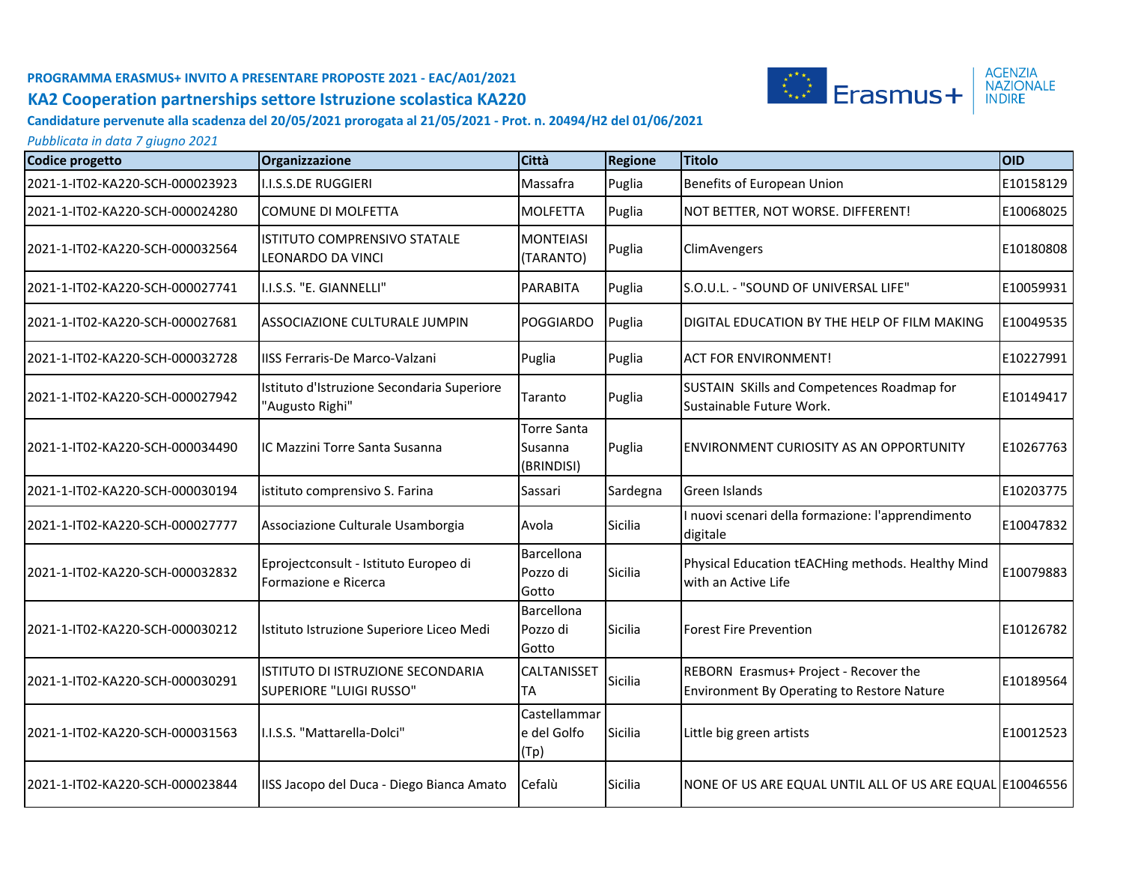

**Candidature pervenute alla scadenza del 20/05/2021 prorogata al 21/05/2021 - Prot. n. 20494/H2 del 01/06/2021**

| Codice progetto                 | Organizzazione                                                | <b>Città</b>                                | <b>Regione</b> | <b>Titolo</b>                                                                       | <b>OID</b> |
|---------------------------------|---------------------------------------------------------------|---------------------------------------------|----------------|-------------------------------------------------------------------------------------|------------|
| 2021-1-IT02-KA220-SCH-000023923 | I.I.S.S.DE RUGGIERI                                           | Massafra                                    | Puglia         | Benefits of European Union                                                          | E10158129  |
| 2021-1-IT02-KA220-SCH-000024280 | <b>COMUNE DI MOLFETTA</b>                                     | <b>MOLFETTA</b>                             | Puglia         | NOT BETTER, NOT WORSE. DIFFERENT!                                                   | E10068025  |
| 2021-1-IT02-KA220-SCH-000032564 | ISTITUTO COMPRENSIVO STATALE<br>LEONARDO DA VINCI             | <b>MONTEIASI</b><br>(TARANTO)               | Puglia         | ClimAvengers                                                                        | E10180808  |
| 2021-1-IT02-KA220-SCH-000027741 | I.I.S.S. "E. GIANNELLI"                                       | <b>PARABITA</b>                             | Puglia         | S.O.U.L. - "SOUND OF UNIVERSAL LIFE"                                                | E10059931  |
| 2021-1-IT02-KA220-SCH-000027681 | ASSOCIAZIONE CULTURALE JUMPIN                                 | <b>POGGIARDO</b>                            | Puglia         | DIGITAL EDUCATION BY THE HELP OF FILM MAKING                                        | E10049535  |
| 2021-1-IT02-KA220-SCH-000032728 | IISS Ferraris-De Marco-Valzani                                | Puglia                                      | Puglia         | <b>ACT FOR ENVIRONMENT!</b>                                                         | E10227991  |
| 2021-1-IT02-KA220-SCH-000027942 | Istituto d'Istruzione Secondaria Superiore<br>'Augusto Righi" | Taranto                                     | Puglia         | SUSTAIN SKills and Competences Roadmap for<br>Sustainable Future Work.              | E10149417  |
| 2021-1-IT02-KA220-SCH-000034490 | IC Mazzini Torre Santa Susanna                                | <b>Torre Santa</b><br>Susanna<br>(BRINDISI) | Puglia         | IENVIRONMENT CURIOSITY AS AN OPPORTUNITY                                            | E10267763  |
| 2021-1-IT02-KA220-SCH-000030194 | istituto comprensivo S. Farina                                | Sassari                                     | Sardegna       | Green Islands                                                                       | E10203775  |
| 2021-1-IT02-KA220-SCH-000027777 | Associazione Culturale Usamborgia                             | Avola                                       | Sicilia        | I nuovi scenari della formazione: l'apprendimento<br>digitale                       | E10047832  |
| 2021-1-IT02-KA220-SCH-000032832 | Eprojectconsult - Istituto Europeo di<br>Formazione e Ricerca | Barcellona<br>Pozzo di<br>Gotto             | Sicilia        | Physical Education tEACHing methods. Healthy Mind<br>with an Active Life            | E10079883  |
| 2021-1-IT02-KA220-SCH-000030212 | Istituto Istruzione Superiore Liceo Medi                      | Barcellona<br>Pozzo di<br>Gotto             | Sicilia        | Forest Fire Prevention                                                              | E10126782  |
| 2021-1-IT02-KA220-SCH-000030291 | ISTITUTO DI ISTRUZIONE SECONDARIA<br>SUPERIORE "LUIGI RUSSO"  | CALTANISSET<br><b>TA</b>                    | <b>Sicilia</b> | REBORN Erasmus+ Project - Recover the<br>Environment By Operating to Restore Nature | E10189564  |
| 2021-1-IT02-KA220-SCH-000031563 | I.I.S.S. "Mattarella-Dolci"                                   | Castellammar<br>e del Golfo<br>(Tp)         | Sicilia        | Little big green artists                                                            | E10012523  |
| 2021-1-IT02-KA220-SCH-000023844 | IISS Jacopo del Duca - Diego Bianca Amato                     | Cefalù                                      | Sicilia        | NONE OF US ARE EQUAL UNTIL ALL OF US ARE EQUAL E10046556                            |            |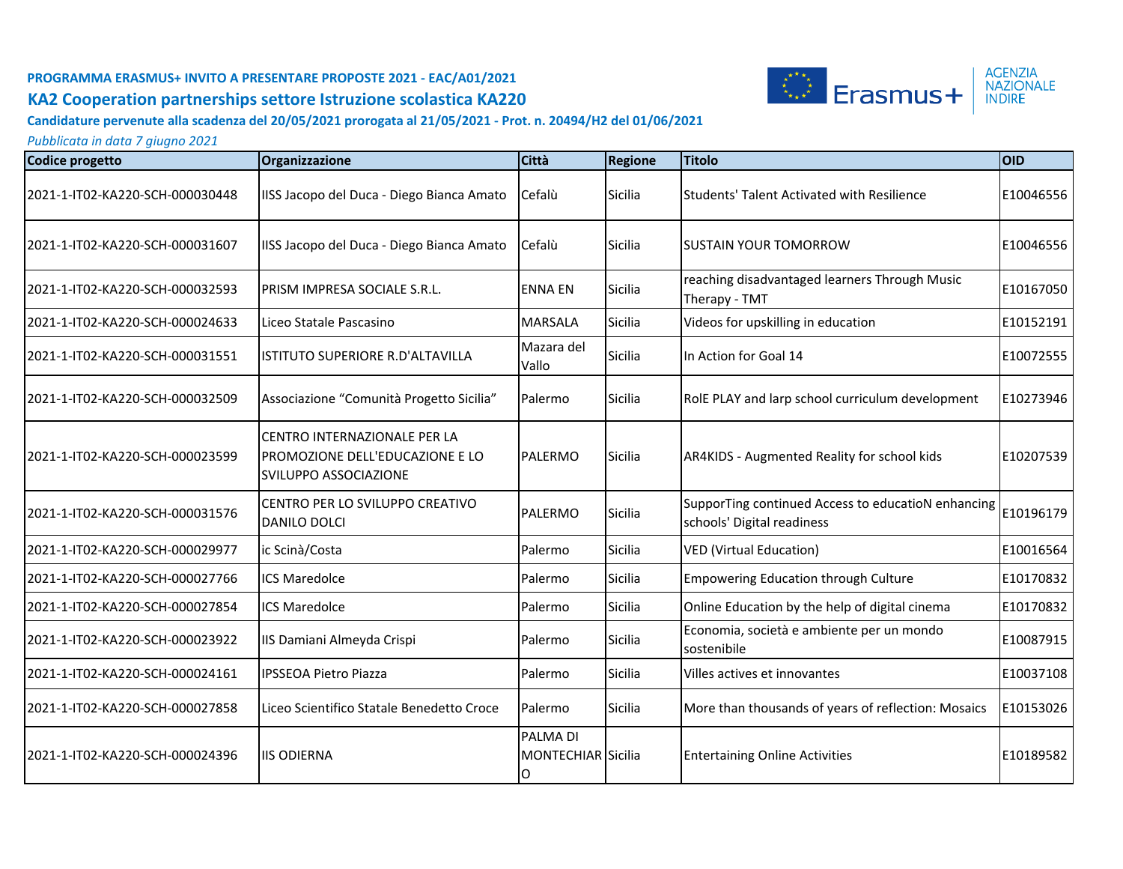

**Candidature pervenute alla scadenza del 20/05/2021 prorogata al 21/05/2021 - Prot. n. 20494/H2 del 01/06/2021**

| <b>Codice progetto</b>          | Organizzazione                                                                           | <b>Città</b>                        | <b>Regione</b> | <b>Titolo</b>                                                                    | <b>OID</b> |
|---------------------------------|------------------------------------------------------------------------------------------|-------------------------------------|----------------|----------------------------------------------------------------------------------|------------|
| 2021-1-IT02-KA220-SCH-000030448 | IISS Jacopo del Duca - Diego Bianca Amato                                                | Cefalù                              | Sicilia        | <b>Students' Talent Activated with Resilience</b>                                | E10046556  |
| 2021-1-IT02-KA220-SCH-000031607 | IISS Jacopo del Duca - Diego Bianca Amato                                                | Cefalù                              | Sicilia        | ISUSTAIN YOUR TOMORROW                                                           | E10046556  |
| 2021-1-IT02-KA220-SCH-000032593 | PRISM IMPRESA SOCIALE S.R.L.                                                             | <b>ENNA EN</b>                      | Sicilia        | reaching disadvantaged learners Through Music<br>Therapy - TMT                   | E10167050  |
| 2021-1-IT02-KA220-SCH-000024633 | Liceo Statale Pascasino                                                                  | <b>MARSALA</b>                      | Sicilia        | Videos for upskilling in education                                               | E10152191  |
| 2021-1-IT02-KA220-SCH-000031551 | ISTITUTO SUPERIORE R.D'ALTAVILLA                                                         | Mazara del<br>Vallo                 | Sicilia        | In Action for Goal 14                                                            | E10072555  |
| 2021-1-IT02-KA220-SCH-000032509 | Associazione "Comunità Progetto Sicilia"                                                 | Palermo                             | Sicilia        | RolE PLAY and larp school curriculum development                                 | E10273946  |
| 2021-1-IT02-KA220-SCH-000023599 | CENTRO INTERNAZIONALE PER LA<br>PROMOZIONE DELL'EDUCAZIONE E LO<br>SVILUPPO ASSOCIAZIONE | <b>PALERMO</b>                      | Sicilia        | AR4KIDS - Augmented Reality for school kids                                      | E10207539  |
| 2021-1-IT02-KA220-SCH-000031576 | CENTRO PER LO SVILUPPO CREATIVO<br>DANILO DOLCI                                          | <b>PALERMO</b>                      | Sicilia        | SupporTing continued Access to educatioN enhancing<br>schools' Digital readiness | E10196179  |
| 2021-1-IT02-KA220-SCH-000029977 | ic Scinà/Costa                                                                           | Palermo                             | Sicilia        | <b>VED (Virtual Education)</b>                                                   | E10016564  |
| 2021-1-IT02-KA220-SCH-000027766 | <b>ICS Maredolce</b>                                                                     | Palermo                             | Sicilia        | <b>Empowering Education through Culture</b>                                      | E10170832  |
| 2021-1-IT02-KA220-SCH-000027854 | <b>ICS Maredolce</b>                                                                     | Palermo                             | Sicilia        | Online Education by the help of digital cinema                                   | E10170832  |
| 2021-1-IT02-KA220-SCH-000023922 | IIS Damiani Almeyda Crispi                                                               | Palermo                             | Sicilia        | Economia, società e ambiente per un mondo<br>sostenibile                         | E10087915  |
| 2021-1-IT02-KA220-SCH-000024161 | <b>IPSSEOA Pietro Piazza</b>                                                             | Palermo                             | Sicilia        | Villes actives et innovantes                                                     | E10037108  |
| 2021-1-IT02-KA220-SCH-000027858 | Liceo Scientifico Statale Benedetto Croce                                                | Palermo                             | Sicilia        | More than thousands of years of reflection: Mosaics                              | E10153026  |
| 2021-1-IT02-KA220-SCH-000024396 | <b>IIS ODIERNA</b>                                                                       | PALMA DI<br>MONTECHIAR Sicilia<br>O |                | <b>Entertaining Online Activities</b>                                            | E10189582  |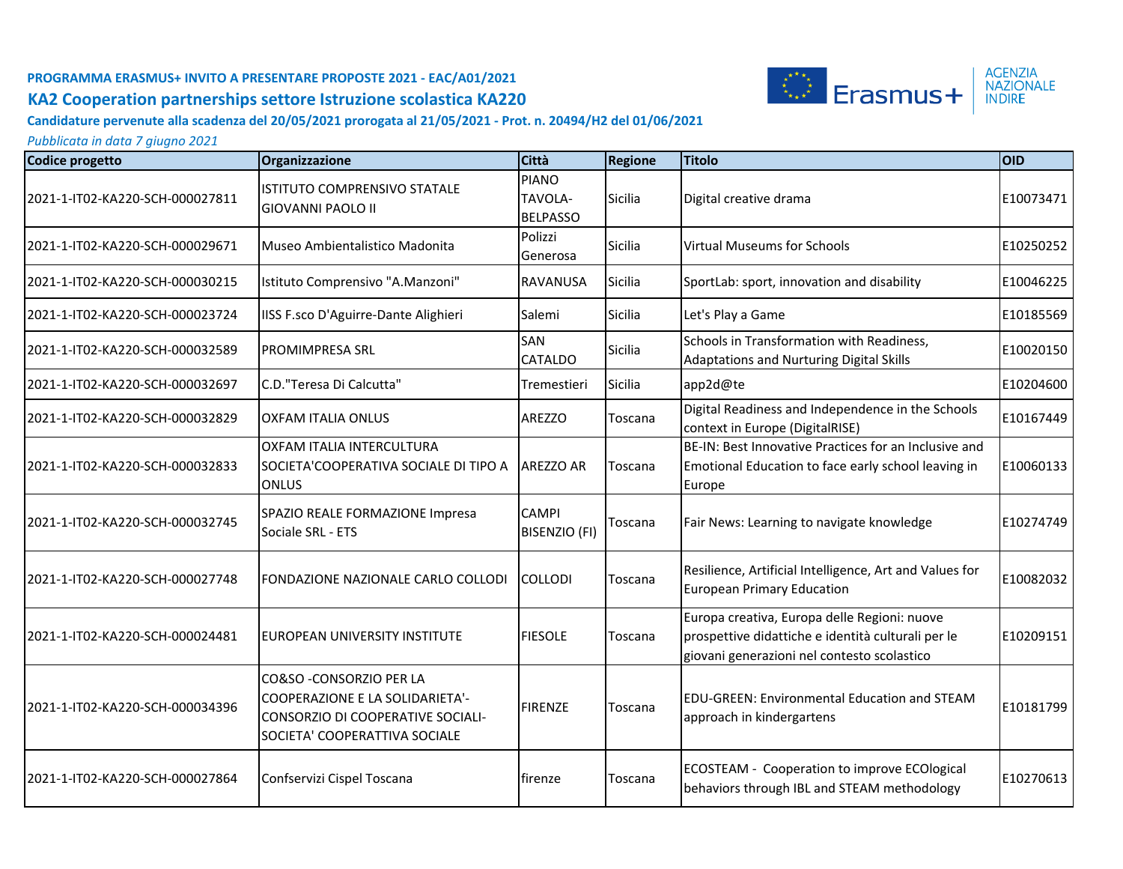

**Candidature pervenute alla scadenza del 20/05/2021 prorogata al 21/05/2021 - Prot. n. 20494/H2 del 01/06/2021**

| Codice progetto                 | Organizzazione                                                                                                                    | <b>Città</b>                               | <b>Regione</b> | <b>Titolo</b>                                                                                                                                     | <b>OID</b> |
|---------------------------------|-----------------------------------------------------------------------------------------------------------------------------------|--------------------------------------------|----------------|---------------------------------------------------------------------------------------------------------------------------------------------------|------------|
| 2021-1-IT02-KA220-SCH-000027811 | ISTITUTO COMPRENSIVO STATALE<br><b>GIOVANNI PAOLO II</b>                                                                          | <b>PIANO</b><br>TAVOLA-<br><b>BELPASSO</b> | Sicilia        | Digital creative drama                                                                                                                            | E10073471  |
| 2021-1-IT02-KA220-SCH-000029671 | Museo Ambientalistico Madonita                                                                                                    | Polizzi<br>Generosa                        | <b>Sicilia</b> | <b>Virtual Museums for Schools</b>                                                                                                                | E10250252  |
| 2021-1-IT02-KA220-SCH-000030215 | Istituto Comprensivo "A.Manzoni"                                                                                                  | <b>RAVANUSA</b>                            | <b>Sicilia</b> | SportLab: sport, innovation and disability                                                                                                        | E10046225  |
| 2021-1-IT02-KA220-SCH-000023724 | IISS F.sco D'Aguirre-Dante Alighieri                                                                                              | Salemi                                     | <b>Sicilia</b> | Let's Play a Game                                                                                                                                 | E10185569  |
| 2021-1-IT02-KA220-SCH-000032589 | PROMIMPRESA SRL                                                                                                                   | SAN<br>CATALDO                             | Sicilia        | Schools in Transformation with Readiness,<br><b>Adaptations and Nurturing Digital Skills</b>                                                      | E10020150  |
| 2021-1-IT02-KA220-SCH-000032697 | C.D. "Teresa Di Calcutta"                                                                                                         | Tremestieri                                | Sicilia        | app2d@te                                                                                                                                          | E10204600  |
| 2021-1-IT02-KA220-SCH-000032829 | OXFAM ITALIA ONLUS                                                                                                                | AREZZO                                     | Toscana        | Digital Readiness and Independence in the Schools<br>context in Europe (DigitalRISE)                                                              | E10167449  |
| 2021-1-IT02-KA220-SCH-000032833 | OXFAM ITALIA INTERCULTURA<br>SOCIETA'COOPERATIVA SOCIALE DI TIPO A<br><b>ONLUS</b>                                                | <b>AREZZO AR</b>                           | Toscana        | BE-IN: Best Innovative Practices for an Inclusive and<br>Emotional Education to face early school leaving in<br>Europe                            | E10060133  |
| 2021-1-IT02-KA220-SCH-000032745 | SPAZIO REALE FORMAZIONE Impresa<br>Sociale SRL - ETS                                                                              | <b>CAMPI</b><br><b>BISENZIO (FI)</b>       | Toscana        | Fair News: Learning to navigate knowledge                                                                                                         | E10274749  |
| 2021-1-IT02-KA220-SCH-000027748 | FONDAZIONE NAZIONALE CARLO COLLODI                                                                                                | <b>COLLODI</b>                             | Toscana        | Resilience, Artificial Intelligence, Art and Values for<br><b>European Primary Education</b>                                                      | E10082032  |
| 2021-1-IT02-KA220-SCH-000024481 | IEUROPEAN UNIVERSITY INSTITUTE                                                                                                    | <b>FIESOLE</b>                             | Toscana        | Europa creativa, Europa delle Regioni: nuove<br>prospettive didattiche e identità culturali per le<br>giovani generazioni nel contesto scolastico | E10209151  |
| 2021-1-IT02-KA220-SCH-000034396 | CO&SO - CONSORZIO PER LA<br>COOPERAZIONE E LA SOLIDARIETA'-<br>CONSORZIO DI COOPERATIVE SOCIALI-<br>SOCIETA' COOPERATTIVA SOCIALE | <b>FIRENZE</b>                             | Toscana        | <b>EDU-GREEN: Environmental Education and STEAM</b><br>approach in kindergartens                                                                  | E10181799  |
| 2021-1-IT02-KA220-SCH-000027864 | Confservizi Cispel Toscana                                                                                                        | firenze                                    | Toscana        | ECOSTEAM - Cooperation to improve ECOlogical<br>behaviors through IBL and STEAM methodology                                                       | E10270613  |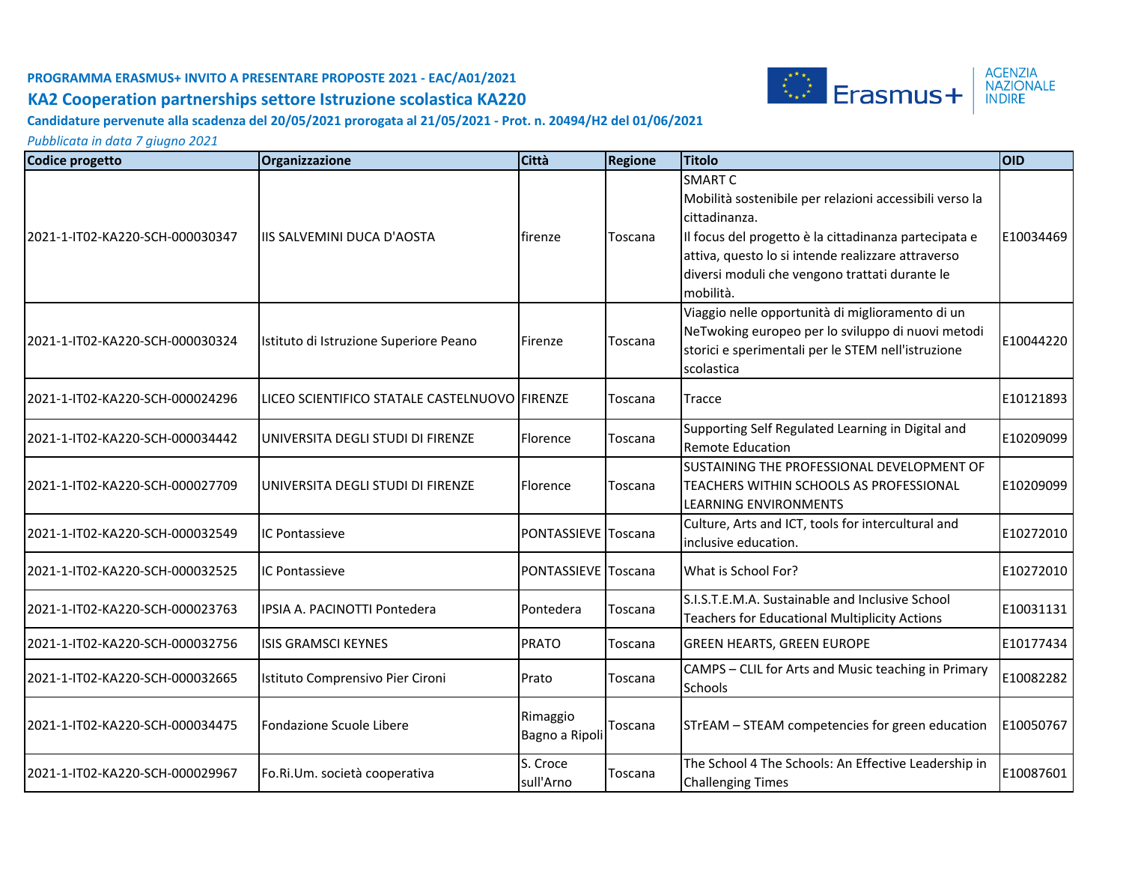

#### **Candidature pervenute alla scadenza del 20/05/2021 prorogata al 21/05/2021 - Prot. n. 20494/H2 del 01/06/2021**

| Codice progetto                 | Organizzazione                                   | Città                      | <b>Regione</b> | Titolo                                                                                                                                                                                                                                                                   | OID       |
|---------------------------------|--------------------------------------------------|----------------------------|----------------|--------------------------------------------------------------------------------------------------------------------------------------------------------------------------------------------------------------------------------------------------------------------------|-----------|
| 2021-1-IT02-KA220-SCH-000030347 | <b>IIIS SALVEMINI DUCA D'AOSTA</b>               | firenze                    | Toscana        | <b>SMART C</b><br>Mobilità sostenibile per relazioni accessibili verso la<br>cittadinanza.<br>Il focus del progetto è la cittadinanza partecipata e<br>attiva, questo lo si intende realizzare attraverso<br>diversi moduli che vengono trattati durante le<br>mobilità. | E10034469 |
| 2021-1-IT02-KA220-SCH-000030324 | Istituto di Istruzione Superiore Peano           | Firenze                    | Toscana        | Viaggio nelle opportunità di miglioramento di un<br>NeTwoking europeo per lo sviluppo di nuovi metodi<br>storici e sperimentali per le STEM nell'istruzione<br>scolastica                                                                                                | E10044220 |
| 2021-1-IT02-KA220-SCH-000024296 | ILICEO SCIENTIFICO STATALE CASTELNUOVO   FIRENZE |                            | Toscana        | Tracce                                                                                                                                                                                                                                                                   | E10121893 |
| 2021-1-IT02-KA220-SCH-000034442 | UNIVERSITA DEGLI STUDI DI FIRENZE                | Florence                   | Toscana        | Supporting Self Regulated Learning in Digital and<br><b>Remote Education</b>                                                                                                                                                                                             | E10209099 |
| 2021-1-IT02-KA220-SCH-000027709 | UNIVERSITA DEGLI STUDI DI FIRENZE                | Florence                   | Toscana        | SUSTAINING THE PROFESSIONAL DEVELOPMENT OF<br>TEACHERS WITHIN SCHOOLS AS PROFESSIONAL<br>LEARNING ENVIRONMENTS                                                                                                                                                           | E10209099 |
| 2021-1-IT02-KA220-SCH-000032549 | <b>IC Pontassieve</b>                            | PONTASSIEVE Toscana        |                | Culture, Arts and ICT, tools for intercultural and<br>inclusive education.                                                                                                                                                                                               | E10272010 |
| 2021-1-IT02-KA220-SCH-000032525 | <b>IC Pontassieve</b>                            | PONTASSIEVE Toscana        |                | What is School For?                                                                                                                                                                                                                                                      | E10272010 |
| 2021-1-IT02-KA220-SCH-000023763 | IPSIA A. PACINOTTI Pontedera                     | Pontedera                  | Toscana        | S.I.S.T.E.M.A. Sustainable and Inclusive School<br><b>Teachers for Educational Multiplicity Actions</b>                                                                                                                                                                  | E10031131 |
| 2021-1-IT02-KA220-SCH-000032756 | <b>ISIS GRAMSCI KEYNES</b>                       | <b>PRATO</b>               | Toscana        | <b>GREEN HEARTS, GREEN EUROPE</b>                                                                                                                                                                                                                                        | E10177434 |
| 2021-1-IT02-KA220-SCH-000032665 | Istituto Comprensivo Pier Cironi                 | Prato                      | Toscana        | CAMPS - CLIL for Arts and Music teaching in Primary<br><b>Schools</b>                                                                                                                                                                                                    | E10082282 |
| 2021-1-IT02-KA220-SCH-000034475 | Fondazione Scuole Libere                         | Rimaggio<br>Bagno a Ripoli | Toscana        | STrEAM - STEAM competencies for green education                                                                                                                                                                                                                          | E10050767 |
| 2021-1-IT02-KA220-SCH-000029967 | Fo.Ri.Um. società cooperativa                    | S. Croce<br>sull'Arno      | Toscana        | The School 4 The Schools: An Effective Leadership in<br><b>Challenging Times</b>                                                                                                                                                                                         | E10087601 |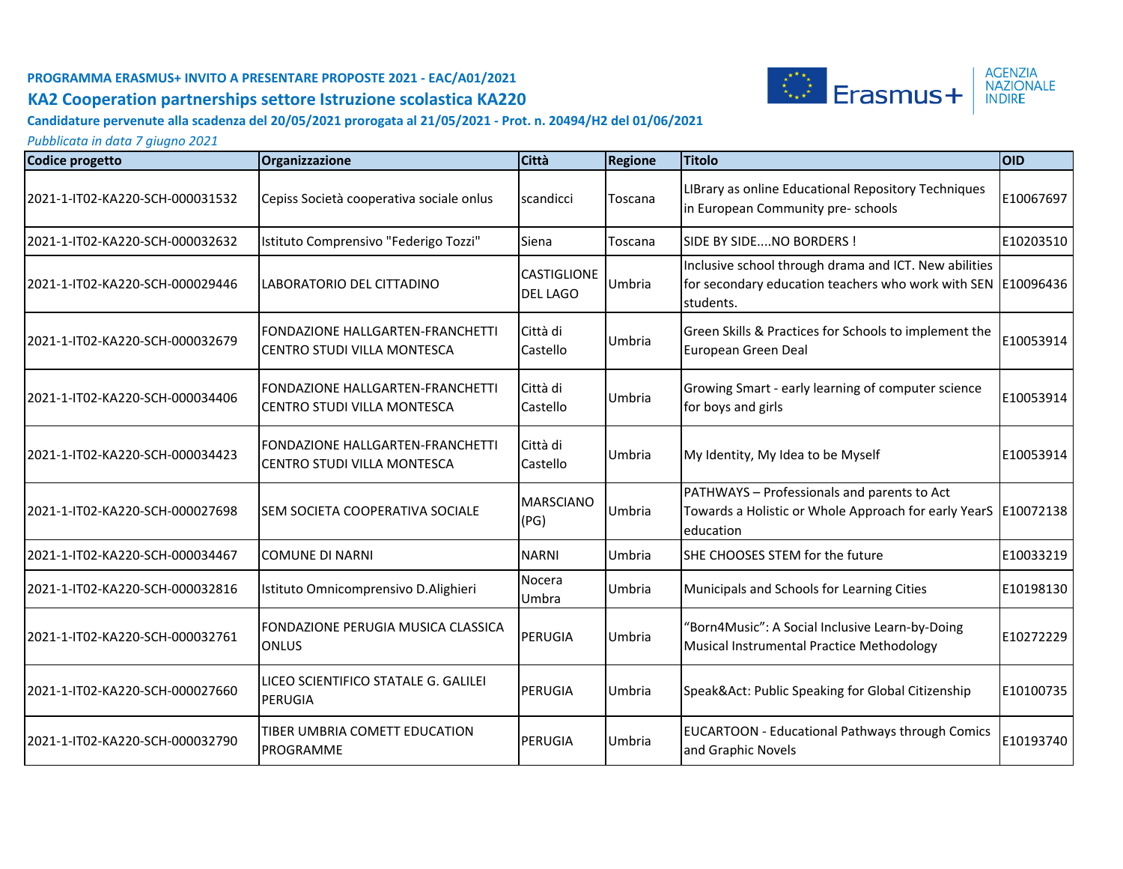

**Candidature pervenute alla scadenza del 20/05/2021 prorogata al 21/05/2021 - Prot. n. 20494/H2 del 01/06/2021**

| Codice progetto                 | Organizzazione                                                                  | <b>Città</b>                          | <b>Regione</b> | <b>Titolo</b>                                                                                                                      | <b>OID</b> |
|---------------------------------|---------------------------------------------------------------------------------|---------------------------------------|----------------|------------------------------------------------------------------------------------------------------------------------------------|------------|
| 2021-1-IT02-KA220-SCH-000031532 | Cepiss Società cooperativa sociale onlus                                        | scandicci                             | Toscana        | LIBrary as online Educational Repository Techniques<br>in European Community pre- schools                                          | E10067697  |
| 2021-1-IT02-KA220-SCH-000032632 | Istituto Comprensivo "Federigo Tozzi"                                           | Siena                                 | Toscana        | SIDE BY SIDENO BORDERS !                                                                                                           | E10203510  |
| 2021-1-IT02-KA220-SCH-000029446 | LABORATORIO DEL CITTADINO                                                       | <b>CASTIGLIONE</b><br><b>DEL LAGO</b> | Umbria         | Inclusive school through drama and ICT. New abilities<br>for secondary education teachers who work with SEN E10096436<br>students. |            |
| 2021-1-IT02-KA220-SCH-000032679 | <b>IFONDAZIONE HALLGARTEN-FRANCHETTI</b><br><b>ICENTRO STUDI VILLA MONTESCA</b> | Città di<br>Castello                  | Umbria         | Green Skills & Practices for Schools to implement the<br>European Green Deal                                                       | E10053914  |
| 2021-1-IT02-KA220-SCH-000034406 | <b>IFONDAZIONE HALLGARTEN-FRANCHETTI</b><br>CENTRO STUDI VILLA MONTESCA         | Città di<br>Castello                  | Umbria         | Growing Smart - early learning of computer science<br>for boys and girls                                                           | E10053914  |
| 2021-1-IT02-KA220-SCH-000034423 | <b>IFONDAZIONE HALLGARTEN-FRANCHETTI</b><br>ICENTRO STUDI VILLA MONTESCA        | Città di<br>Castello                  | Umbria         | My Identity, My Idea to be Myself                                                                                                  | E10053914  |
| 2021-1-IT02-KA220-SCH-000027698 | ISEM SOCIETA COOPERATIVA SOCIALE                                                | <b>MARSCIANO</b><br>(PG)              | Umbria         | PATHWAYS - Professionals and parents to Act<br>Towards a Holistic or Whole Approach for early YearS   E10072138<br>education       |            |
| 2021-1-IT02-KA220-SCH-000034467 | <b>COMUNE DI NARNI</b>                                                          | <b>NARNI</b>                          | Umbria         | SHE CHOOSES STEM for the future                                                                                                    | E10033219  |
| 2021-1-IT02-KA220-SCH-000032816 | Istituto Omnicomprensivo D.Alighieri                                            | Nocera<br>Umbra                       | Umbria         | Municipals and Schools for Learning Cities                                                                                         | E10198130  |
| 2021-1-IT02-KA220-SCH-000032761 | <b>IFONDAZIONE PERUGIA MUSICA CLASSICA</b><br><b>ONLUS</b>                      | PERUGIA                               | Umbria         | "Born4Music": A Social Inclusive Learn-by-Doing<br>Musical Instrumental Practice Methodology                                       | E10272229  |
| 2021-1-IT02-KA220-SCH-000027660 | LICEO SCIENTIFICO STATALE G. GALILEI<br>PERUGIA                                 | PERUGIA                               | Umbria         | Speak&Act: Public Speaking for Global Citizenship                                                                                  | E10100735  |
| 2021-1-IT02-KA220-SCH-000032790 | TIBER UMBRIA COMETT EDUCATION<br><b>PROGRAMME</b>                               | PERUGIA                               | Umbria         | <b>EUCARTOON - Educational Pathways through Comics</b><br>and Graphic Novels                                                       | E10193740  |